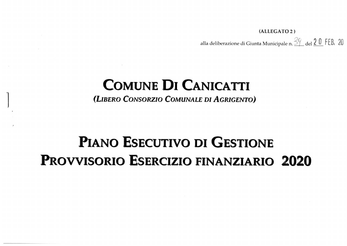(ALLEGATO 2) alla deliberazione di Giunta Municipale n.  $\frac{59}{1}$  del  $\frac{20}{1}$  FEB, 20

## **COMUNE DI CANICATTI**

(LIBERO CONSORZIO COMUNALE DI AGRIGENTO)

# PIANO ESECUTIVO DI GESTIONE **PROVVISORIO ESERCIZIO FINANZIARIO 2020**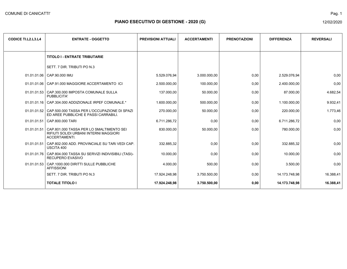| <b>CODICE TI.L2.L3.L4</b> | <b>ENTRATE - OGGETTO</b>                                                                                        | <b>PREVISIONI ATTUALI</b> | <b>ACCERTAMENTI</b> | <b>PRENOTAZIONI</b> | <b>DIFFERENZA</b> | <b>REVERSALI</b> |
|---------------------------|-----------------------------------------------------------------------------------------------------------------|---------------------------|---------------------|---------------------|-------------------|------------------|
|                           | <b>TITOLO I - ENTRATE TRIBUTARIE</b>                                                                            |                           |                     |                     |                   |                  |
|                           | SETT. 7 DIR. TRIBUTI PO N.3                                                                                     |                           |                     |                     |                   |                  |
|                           | 01.01.01.06   CAP.90.000 IMU                                                                                    | 5.529.076,94              | 3.000.000,00        | 0,00                | 2.529.076.94      | 0,00             |
|                           | 01.01.01.06   CAP.91.000 MAGGIORE ACCERTAMENTO ICI                                                              | 2.500.000,00              | 100.000,00          | 0,00                | 2.400.000,00      | 0,00             |
|                           | 01.01.01.53 CAP.300.000 IMPOSTA COMUNALE SULLA<br>PUBBLICITA'                                                   | 137.000,00                | 50.000,00           | 0,00                | 87.000,00         | 4.682,54         |
|                           | 01.01.01.16   CAP.304.000 ADDIZIONALE IRPEF COMUNALE.*                                                          | 1.600.000,00              | 500.000,00          | 0,00                | 1.100.000,00      | 9.932,41         |
|                           | 01.01.01.52 CAP.500.000 TASSA PER L'OCCUPAZIONE DI SPAZI<br>ED AREE PUBBLICHE E PASSI CARRABILI.                | 270.000,00                | 50.000,00           | 0,00                | 220.000,00        | 1.773,46         |
|                           | 01.01.01.51 CAP.800.000 TARI                                                                                    | 6.711.286,72              | 0,00                | 0,00                | 6.711.286,72      | 0,00             |
|                           | 01.01.01.51 CAP.801.000 TASSA PER LO SMALTIMENTO SEI<br>RIFIUTI SOLIDI URBANI INTERNI MAGGIORI<br>ACCERTAMENTI. | 830.000.00                | 50.000.00           | 0,00                | 780.000.00        | 0,00             |
|                           | 01.01.01.51 CAP.802.000 ADD. PROVINCIALE SU TARI VEDI CAP.<br>USCITA 400                                        | 332.885,32                | 0,00                | 0,00                | 332.885,32        | 0,00             |
|                           | 01.01.01.76   CAP.804.000 TASSA SU SERVIZI INDIVISIBILI (TASI)-<br><b>RECUPERO EVASIVO</b>                      | 10.000,00                 | 0,00                | 0,00                | 10.000,00         | 0,00             |
|                           | 01.01.01.53 CAP.1000.000 DIRITTI SULLE PUBBLICHE<br><b>AFFISSIONI</b>                                           | 4.000,00                  | 500,00              | 0,00                | 3.500,00          | 0,00             |
|                           | SETT. 7 DIR. TRIBUTI PO N.3                                                                                     | 17.924.248,98             | 3.750.500,00        | 0,00                | 14.173.748,98     | 16.388,41        |
|                           | <b>TOTALE TITOLO I</b>                                                                                          | 17.924.248,98             | 3.750.500,00        | 0,00                | 14.173.748.98     | 16.388,41        |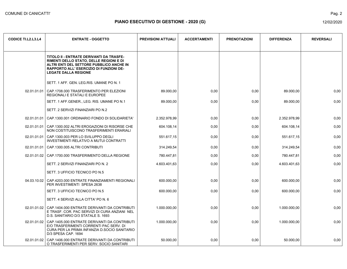| <b>CODICE TI.L2.L3.L4</b> | <b>ENTRATE - OGGETTO</b>                                                                                                                                                                                                | <b>PREVISIONI ATTUALI</b> | <b>ACCERTAMENTI</b> | <b>PRENOTAZIONI</b> | <b>DIFFERENZA</b> | <b>REVERSALI</b> |
|---------------------------|-------------------------------------------------------------------------------------------------------------------------------------------------------------------------------------------------------------------------|---------------------------|---------------------|---------------------|-------------------|------------------|
|                           | TITOLO II - ENTRATE DERIVANTI DA TRASFE-<br><b>RIMENTI DELLO STATO, DELLE REGIONI E DI</b><br>ALTRI ENTI DEL SETTORE PUBBLICO ANCHE IN<br><b>RAPPORTO ALL' ESERCIZIO DI FUNZIONI DE-</b><br><b>LEGATE DALLA REGIONE</b> |                           |                     |                     |                   |                  |
|                           | SETT. 1 AFF. GEN. LEG.RIS. UMANE PO N. 1                                                                                                                                                                                |                           |                     |                     |                   |                  |
|                           | 02.01.01.01   CAP.1708.000 TRASFERIMENTO PER ELEZIONI<br>REGIONALI E STATALI E EUROPEE                                                                                                                                  | 89.000,00                 | 0,00                | 0,00                | 89.000,00         | 0,00             |
|                           | SETT. 1 AFF. GENER., LEG. RIS. UMANE PO N.1                                                                                                                                                                             | 89.000,00                 | 0,00                | 0,00                | 89.000,00         | 0,00             |
|                           | SETT. 2 SERVIZI FINANZIARI PO N.2                                                                                                                                                                                       |                           |                     |                     |                   |                  |
| 02.01.01.01               | CAP.1300.001 ORDINARIO FONDO DI SOLIDARIETA'                                                                                                                                                                            | 2.352.978,99              | 0,00                | 0,00                | 2.352.978,99      | 0,00             |
|                           | 02.01.01.01 CAP.1300.002 ALTRI EROGAZIONI DI RISORSE CHE<br>NON COSTITUISCONO TRASFERIMENTI ERARIALI                                                                                                                    | 604.108.14                | 0,00                | 0,00                | 604.108.14        | 0,00             |
| 02.01.01.01               | CAP.1300.003 PER LO SVILUPPO DEGLI<br>INVESTIMENTI RELATIVO A MUTUI CONTRATTI                                                                                                                                           | 551.617,15                | 0,00                | 0,00                | 551.617,15        | 0,00             |
| 02.01.01.01               | CAP.1300.005 ALTRI CONTRIBUTI                                                                                                                                                                                           | 314.249,54                | 0,00                | 0,00                | 314.249,54        | 0,00             |
|                           | 02.01.01.02   CAP.1700.000 TRASFERIMENTO DELLA REGIONE                                                                                                                                                                  | 780.447,81                | 0,00                | 0,00                | 780.447,81        | 0,00             |
|                           | SETT. 2 SERVIZI FINANZIARI PO N. 2                                                                                                                                                                                      | 4.603.401,63              | 0,00                | 0,00                | 4.603.401,63      | 0,00             |
|                           | SETT. 3 UFFICIO TECNICO PO N.5                                                                                                                                                                                          |                           |                     |                     |                   |                  |
| 04.03.10.02               | CAP.4203.000 ENTRATE FINANZIAMENTI REGIONALI<br>PER INVESTIMENTI SPESA 2638                                                                                                                                             | 600.000,00                | 0,00                | 0.00                | 600.000,00        | 0.00             |
|                           | SETT. 3 UFFICIO TECNICO PO N.5                                                                                                                                                                                          | 600.000,00                | 0,00                | 0,00                | 600.000,00        | 0,00             |
|                           | SETT. 4 SERVIZI ALLA CITTA' PO N. 6                                                                                                                                                                                     |                           |                     |                     |                   |                  |
|                           | 02.01.01.02 CAP.1404.000 ENTRATE DERIVANTI DA CONTRIBUTI<br>E TRASF. COR. PAC SERVIZI DI CURA ANZIANI NEL<br>D.S. SANITARIO D/3 STATALE S. 1693                                                                         | 1.000.000,00              | 0,00                | 0,00                | 1.000.000,00      | 0,00             |
|                           | 02.01.01.02 CAP.1405.000 ENTRATE DERIVANTI DA CONTRIBUTI<br>E/O TRASFERIMENTI CORRENTI PAC SERV. DI<br>CURA PER LA PRIMA INFANZIA D.SOCIO SANITARIO<br>D/3 SPESA CAP. 1694                                              | 1.000.000,00              | 0,00                | 0,00                | 1.000.000,00      | 0,00             |
|                           | 02.01.01.02 CAP.1406.000 ENTRATE DERIVANTI DA CONTRIBUTI<br>O TRASFERIMENTI PER SERV. SOCIO SANITARI                                                                                                                    | 50.000,00                 | 0,00                | 0,00                | 50.000.00         | 0,00             |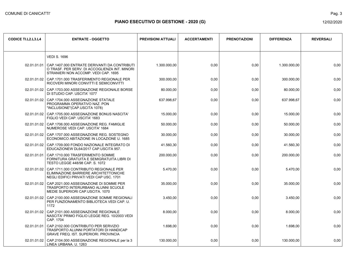| <b>CODICE TI.L2.L3.L4</b> | <b>ENTRATE - OGGETTO</b>                                                                                                              | <b>PREVISIONI ATTUALI</b> | <b>ACCERTAMENTI</b> | <b>PRENOTAZIONI</b> | <b>DIFFERENZA</b> | <b>REVERSALI</b> |
|---------------------------|---------------------------------------------------------------------------------------------------------------------------------------|---------------------------|---------------------|---------------------|-------------------|------------------|
|                           | <b>VEDI S. 1696</b>                                                                                                                   |                           |                     |                     |                   |                  |
| 02.01.01.01               | CAP.1407.000 ENTRATE DERIVANTI DA CONTRIBUTI<br>O TRASF. PER SERV. DI ACCOGLIENZA INT. MINORI<br>STRANIERI NON ACCOMP. VEDI CAP. 1695 | 1.300.000.00              | 0,00                | 0,00                | 1.300.000.00      | 0,00             |
|                           | 02.01.01.02   CAP.1701.000 TRASFERIMENTO REGIONALE PER<br>RICOVERI MINORI CONVITTI E SEMICONVITTI                                     | 300.000.00                | 0,00                | 0,00                | 300.000,00        | 0,00             |
|                           | 02.01.01.02 CAP.1703.000 ASSEGNAZIONE REGIONALE BORSE<br>DI STUDIO CAP. USCITA' 1077                                                  | 80.000,00                 | 0,00                | 0,00                | 80.000,00         | 0,00             |
| 02.01.01.02               | CAP.1704.000 ASSEGNAZIONE STATALE<br>PROGRAMMA OPERATIVO NAZ. PON<br>"INCLUSIONE"(CAP.USCITA 1078)                                    | 637.998,67                | 0,00                | 0,00                | 637.998,67        | 0,00             |
| 02.01.01.02               | CAP.1705.000 ASSEGNAZIONE BONUS NASCITA'<br>FIGLIO VEDI CAP. USCITA' 1683                                                             | 15.000,00                 | 0,00                | 0,00                | 15.000,00         | 0,00             |
|                           | 02.01.01.02   CAP.1706.000 ASSEGNAZIONE REG. FAMIGLIE<br>NUMEROSE VEDI CAP. USCITA' 1684                                              | 50.000,00                 | 0,00                | 0,00                | 50.000,00         | 0,00             |
| 02.01.01.02               | CAP.1707.000 ASSEGNAZIONE REG. SOSTEGNO<br>ECONOMICO ABITAZIONE IN LOCAZIONE U. 1685                                                  | 30.000,00                 | 0,00                | 0,00                | 30.000,00         | 0,00             |
| 02.01.01.02               | CAP.1709.000 FONDO NAZIONALE INTEGRATO DI<br>EDUCAZIONEW DL64/2017 CAP.USCITA 957.                                                    | 41.560,30                 | 0,00                | 0,00                | 41.560,30         | 0,00             |
| 02.01.01.01               | CAP.1710.000 TRASFERIMENTO SOMME<br>FORNITURA GRATUITA E SEMIGRATUITA LIBRI DI<br>TESTO LEGGE 448/98 CAP. S. 1072                     | 200.000,00                | 0,00                | 0,00                | 200.000,00        | 0,00             |
| 02.01.01.02               | CAP.1711.000 CONTRIBUTO REGIONALE PER<br>ELIMINAZIONE BARRIERE ARCHITETTONICHE<br>NEGLI EDIFICI PRIVATI VEDI CAP USC. 1701            | 5.470,00                  | 0,00                | 0,00                | 5.470,00          | 0,00             |
| 02.01.01.02               | CAP.2021.000 ASSEGNAZIONE DI SOMME PER<br>TRASPORTO INTERURBANO ALUNNI SCUOLE<br>MEDIE SUPERIORI CAP.USCITA. 1070                     | 35.000,00                 | 0,00                | 0,00                | 35.000,00         | 0,00             |
|                           | 02.01.01.02   CAP.2100.000 ASSEGNAZIONE SOMME REGIONALI<br>PER FUNZIONAMENTO BIBLIOTECA VEDI CAP. U.<br>1172                          | 3.450,00                  | 0,00                | 0,00                | 3.450,00          | 0,00             |
|                           | 02.01.01.02   CAP.2101.000 ASSEGNAZIONE REGIONALE<br>NASCITA' PRIMO FIGLIO LEGGE REG. 10/2003 VEDI<br>CAP. 1704                       | 8.000,00                  | 0,00                | 0,00                | 8.000,00          | 0,00             |
| 02.01.01.01               | CAP.2102.000 CONTRIBUTO PER SERVIZIO<br>TRASPORTO ALUNNI PORTATORI DI HANDICAP<br><b>GRAVE FREQ. IST. SUPERIORI. PROVINCIA</b>        | 1.698,00                  | 0,00                | 0,00                | 1.698,00          | 0,00             |
| 02.01.01.02               | CAP.2104.000 ASSEGNAZIONE REGIONALE per la 3<br>LINEA URBANA. U. 1263                                                                 | 130.000,00                | 0,00                | 0,00                | 130.000.00        | 0,00             |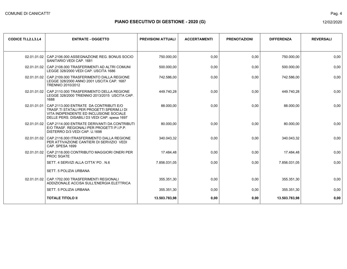|--|

| <b>CODICE TI.L2.L3.L4</b> | <b>ENTRATE - OGGETTO</b>                                                                                                                                                                      | <b>PREVISIONI ATTUALI</b> | <b>ACCERTAMENTI</b> | <b>PRENOTAZIONI</b> | <b>DIFFERENZA</b> | <b>REVERSALI</b> |
|---------------------------|-----------------------------------------------------------------------------------------------------------------------------------------------------------------------------------------------|---------------------------|---------------------|---------------------|-------------------|------------------|
|                           | 02.01.01.02   CAP.2106.000 ASSEGNAZIONE REG. BONUS SOCIO<br>SANITARIO VEDI CAP. 1681                                                                                                          | 750.000,00                | 0,00                | 0,00                | 750.000,00        | 0,00             |
|                           | 02.01.01.02 CAP.2108.000 TRASFERIMENTI AD ALTRI COMUNI<br>LEGGE 328/2000 VEDI CAP. USCITA 1686                                                                                                | 500.000,00                | 0,00                | 0,00                | 500.000,00        | 0,00             |
|                           | 02.01.01.02 CAP.2109.000 TRASFERIMENTO DALLA REGIONE<br>LEGGE 328/2000 ANNO 2001 USCITA CAP. 1687<br>TRENNIO 2010/2012                                                                        | 742.586,00                | 0,00                | 0,00                | 742.586,00        | 0,00             |
|                           | 02.01.01.02   CAP.2110.000 TRASFERIMENTO DELLA REGIONE<br>LEGGE 328/2000 TRIENNIO 2013/2015 USCITA CAP.<br>1688                                                                               | 449.740.28                | 0,00                | 0,00                | 449.740,28        | 0,00             |
|                           | 02.01.01.01   CAP.2113.000 ENTRATE DA CONTRIBUTI E/O<br>TRASF.TI STATALI PER PROGETTI SPERIM.LI DI<br>VITA INDIPENDENTE ED INCLUSIONE SOCIALE<br>DELLE PERS. DISABILI D3 VEDI CAP. spesa 1697 | 88.000.00                 | 0,00                | 0.00                | 88.000.00         | 0.00             |
|                           | 02.01.01.02 CAP.2114.000 ENTRATE DERIVANTI DA CONTRIBUTI<br>E/O TRASF. REGIONALI PER PROGETTI P.I.P.P.<br>DISTERRO D/3 VEDI CAP. U.1698                                                       | 80.000,00                 | 0,00                | 0,00                | 80.000,00         | 0,00             |
|                           | 02.01.01.02   CAP.2116.000 tTRASFERIMENTO DALLA REGIONE<br>PER ATTIVAZIONE CANTIERI DI SERVIZIO VEDI<br>CAP. SPESA 1699                                                                       | 340.043,32                | 0,00                | 0,00                | 340.043,32        | 0,00             |
|                           | 02.01.01.02 CAP.2118.000 CONTRIBUTO MAGGIORI ONERI PER<br>PROC SGATE                                                                                                                          | 17.484.48                 | 0,00                | 0,00                | 17.484,48         | 0,00             |
|                           | SETT. 4 SERVIZI ALLA CITTA' PO. N.6                                                                                                                                                           | 7.856.031.05              | 0,00                | 0.00                | 7.856.031.05      | 0.00             |
|                           | SETT. 5 POLIZIA URBANA                                                                                                                                                                        |                           |                     |                     |                   |                  |
|                           | 02.01.01.02 CAP.1702.000 TRASFERIMENTI REGIONALI<br>ADDIZIONALE ACCISA SULL'ENERGIA ELETTRICA                                                                                                 | 355.351,30                | 0,00                | 0,00                | 355.351,30        | 0,00             |
|                           | <b>SETT. 5 POLIZIA URBANA</b>                                                                                                                                                                 | 355.351,30                | 0,00                | 0,00                | 355.351,30        | 0,00             |
|                           | <b>TOTALE TITOLO II</b>                                                                                                                                                                       | 13.503.783,98             | 0,00                | 0,00                | 13.503.783,98     | 0,00             |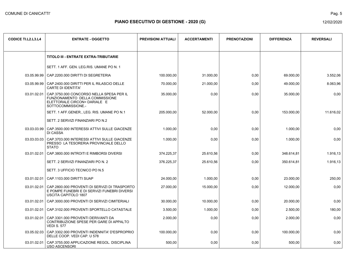| <b>CODICE TI.L2.L3.L4</b> | <b>ENTRATE - OGGETTO</b>                                                                                                          | <b>PREVISIONI ATTUALI</b> | <b>ACCERTAMENTI</b> | <b>PRENOTAZIONI</b> | <b>DIFFERENZA</b> | <b>REVERSALI</b> |
|---------------------------|-----------------------------------------------------------------------------------------------------------------------------------|---------------------------|---------------------|---------------------|-------------------|------------------|
|                           | <b>TITOLO III - ENTRATE EXTRA-TRIBUTARIE</b>                                                                                      |                           |                     |                     |                   |                  |
|                           | SETT. 1 AFF. GEN. LEG. RIS. UMANE PO N. 1                                                                                         |                           |                     |                     |                   |                  |
|                           | 03.05.99.99   CAP.2200.000 DIRITTI DI SEGRETERIA                                                                                  | 100.000,00                | 31.000,00           | 0,00                | 69.000,00         | 3.552,06         |
| 03.05.99.99               | CAP.2400.000 DIRITTI PER IL RILASCIO DELLE<br><b>CARTE DI IDENTITA'</b>                                                           | 70.000,00                 | 21.000,00           | 0,00                | 49.000,00         | 8.063,96         |
| 03.01.02.01               | CAP.3750.000 CONCORSO NELLA SPESA PER IL<br>FUNZIONAMENTO DELLA COMMISSIONE<br>ELETTORALE CIRCON= DARIALE E<br>SOTTOCOMMISSIONE.- | 35.000,00                 | 0,00                | 0,00                | 35.000,00         | 0,00             |
|                           | SETT. 1 AFF. GENER., LEG. RIS. UMANE PO N.1                                                                                       | 205.000,00                | 52.000,00           | 0,00                | 153.000,00        | 11.616.02        |
|                           | SETT. 2 SERVIZI FINANZIARI PO N.2                                                                                                 |                           |                     |                     |                   |                  |
|                           | 03.03.03.99   CAP.3500.000 INTERESSI ATTIVI SULLE GIACENZE<br>DI CASSA                                                            | 1.000.00                  | 0.00                | 0.00                | 1.000.00          | 0.00             |
| 03.03.03.03               | CAP.3703.000 INTERESSI ATTIVI SULLE GIACENZE<br>PRESSO LA TESORERIA PROVINCIALE DELLO<br><b>STATO</b>                             | 1.000,00                  | 0,00                | 0,00                | 1.000,00          | 0,00             |
| 03.01.02.01               | CAP.3800.000 INTROITI E RIMBORSI DIVERSI                                                                                          | 374.225,37                | 25.610,56           | 0,00                | 348.614,81        | 1.916,13         |
|                           | SETT. 2 SERVIZI FINANZIARI PO N. 2                                                                                                | 376.225,37                | 25.610,56           | 0,00                | 350.614,81        | 1.916,13         |
|                           | SETT. 3 UFFICIO TECNICO PO N.5                                                                                                    |                           |                     |                     |                   |                  |
|                           | 03.01.02.01   CAP.1103.000 DIRITTI SUAP                                                                                           | 24.000,00                 | 1.000,00            | 0,00                | 23.000,00         | 250,00           |
| 03.01.02.01               | CAP.2800.000 PROVENTI DI SERVIZI DI TRASPORTO<br>E POMPE FUNEBRI E DI SERVIZI FUNEBRI DIVERSI<br><b>USCITA CAPITOLO 1807</b>      | 27.000,00                 | 15.000,00           | 0,00                | 12.000,00         | 0,00             |
| 03.01.02.01               | CAP.3000.000 PROVENTI DI SERVIZI CIMITERIALI                                                                                      | 30.000,00                 | 10.000,00           | 0,00                | 20.000,00         | 0,00             |
| 03.01.02.01               | CAP.3102.000 PROVENTI SPORTELLO CATASTALE                                                                                         | 3.500,00                  | 1.000,00            | 0,00                | 2.500,00          | 180,00           |
| 03.01.02.01               | CAP.3301.000 PROVENTI DERIVANTI DA<br>CONTRIBUZIONE SPESE PER GARE DI APPALTO<br><b>VEDI S. 577</b>                               | 2.000,00                  | 0,00                | 0,00                | 2.000,00          | 0,00             |
| 03.05.02.03               | CAP 3302.000 PROVENTI INDENNITA' D'ESPROPRIO<br>DELLE COOP. VEDI CAP. U 578                                                       | 100.000,00                | 0,00                | 0,00                | 100.000,00        | 0,00             |
| 03.01.02.01               | CAP.3755.000 APPLICAZIONE REGOL. DISCIPLINA<br><b>USO ASCENSORI</b>                                                               | 500,00                    | 0,00                | 0,00                | 500,00            | 0,00             |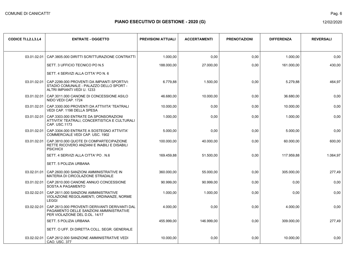Pag. 6

| <b>CODICE TI.L2.L3.L4</b> | <b>ENTRATE - OGGETTO</b>                                                                                                            | <b>PREVISIONI ATTUALI</b> | <b>ACCERTAMENTI</b> | <b>PRENOTAZIONI</b> | <b>DIFFERENZA</b> | <b>REVERSALI</b> |
|---------------------------|-------------------------------------------------------------------------------------------------------------------------------------|---------------------------|---------------------|---------------------|-------------------|------------------|
| 03.01.02.01               | CAP.3805.000 DIRITTI SCRITTURAZIONE CONTRATTI                                                                                       | 1.000,00                  | 0.00                | 0,00                | 1.000,00          | 0,00             |
|                           | SETT. 3 UFFICIO TECNICO PO N.5                                                                                                      | 188.000,00                | 27.000,00           | 0,00                | 161.000,00        | 430,00           |
|                           | SETT. 4 SERVIZI ALLA CITTA' PO N. 6                                                                                                 |                           |                     |                     |                   |                  |
|                           | 03.01.02.01   CAP.2299.000 PROVENTI DA IMPIANTI SPORTIVI:<br>STADIO COMUNALE - PALAZZO DELLO SPORT -<br>ALTRI IMPIANTI VEDI U. 1233 | 6.779,88                  | 1.500,00            | 0,00                | 5.279,88          | 464,97           |
|                           | 03.01.02.01   CAP.3011.000 CANONE DI CONCESSIONE ASILO<br>NIDO VEDI CAP. 1724                                                       | 46.680,00                 | 10.000,00           | 0,00                | 36.680,00         | 0,00             |
|                           | 03.01.02.01   CAP.3300.000 PROVENTI DA ATTIVITA' TEATRALI<br>VEDI CAP. 1198 DELLA SPESA                                             | 10.000,00                 | 0,00                | 0,00                | 10.000,00         | 0,00             |
|                           | 03.01.02.01   CAP.3303.000 ENTRATE DA SPONSORAZIONI<br>ATTIVITA' TEATRALI, CONCERTISTICA E CULTURALI<br>CAP. USC.1173               | 1.000,00                  | 0,00                | 0,00                | 1.000,00          | 0,00             |
| 03.01.02.01               | CAP.3304.000 ENTRATE A SOSTEGNO ATTIVITA'<br>COMMERCIALE VEDI CAP. USC. 1902                                                        | 5.000,00                  | 0,00                | 0,00                | 5.000,00          | 0,00             |
| 03.01.02.01               | CAP.3810.000 QUOTE DI COMPARTECIPAZIONE<br>RETTE RICOVERO ANZIANI E INABILI E DISABILI<br><b>PSICHICII</b>                          | 100.000,00                | 40.000,00           | 0,00                | 60.000,00         | 600,00           |
|                           | SETT. 4 SERVIZI ALLA CITTA' PO. N.6                                                                                                 | 169.459,88                | 51.500,00           | 0,00                | 117.959,88        | 1.064.97         |
|                           | SETT. 5 POLIZIA URBANA                                                                                                              |                           |                     |                     |                   |                  |
| 03.02.01.01               | CAP.2600.000 SANZIONI AMMINISTRATIVE IN<br>MATERIA DI CIRCOLAZIONE STRADALE                                                         | 360.000,00                | 55.000.00           | 0.00                | 305.000.00        | 277,49           |
|                           | 03.01.02.01   CAP.2610.000 CANONE ANNUO CONCESSIONE<br><b>SOSTA A PAGAMENTO</b>                                                     | 90.999,00                 | 90.999,00           | 0,00                | 0,00              | 0,00             |
|                           | 03.02.02.01   CAP.2611.000 SANZIONI AMMINISTRATIVE<br>VIOLAZIONE REGOLAMENTI, ORDINANZE, NORME<br><b>LEGGI</b>                      | 1.000,00                  | 1.000,00            | 0,00                | 0,00              | 0,00             |
| 03.02.02.01               | CAP.2613.000 PROVENTI DERIVANTI DERIVANTI DAL<br>PAGAMENTO DELLE SANZIONI AMMINISTRATIVE<br>PER VIOLAZIONE DEL D.DL. 14/17          | 4.000,00                  | 0,00                | 0,00                | 4.000,00          | 0.00             |
|                           | <b>SETT. 5 POLIZIA URBANA</b>                                                                                                       | 455.999,00                | 146.999.00          | 0,00                | 309.000,00        | 277,49           |
|                           | SETT. O UFF. DI DIRETTA COLL. SEGR. GENERALE                                                                                        |                           |                     |                     |                   |                  |
|                           | 03.02.02.01   CAP.2612.000 SANZIONE AMMINISTRATIVE VEDI<br>CAO. USC. 377                                                            | 10.000,00                 | 0,00                | 0,00                | 10.000,00         | 0,00             |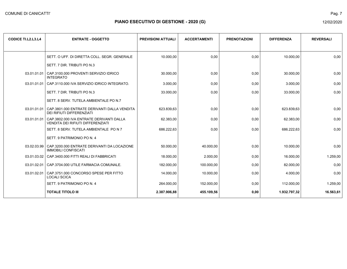| <b>CODICE TI.L2.L3.L4</b> | <b>ENTRATE - OGGETTO</b>                                                              | <b>PREVISIONI ATTUALI</b> | <b>ACCERTAMENTI</b> | <b>PRENOTAZIONI</b> | <b>DIFFERENZA</b> | <b>REVERSALI</b> |
|---------------------------|---------------------------------------------------------------------------------------|---------------------------|---------------------|---------------------|-------------------|------------------|
|                           |                                                                                       |                           |                     |                     |                   |                  |
|                           | SETT. O UFF. DI DIRETTA COLL. SEGR. GENERALE                                          | 10.000,00                 | 0,00                | 0,00                | 10.000,00         | 0,00             |
|                           | SETT. 7 DIR. TRIBUTI PO N.3                                                           |                           |                     |                     |                   |                  |
| 03.01.01.01               | CAP.3100.000 PROVENTI SERVIZIO IDRICO<br><b>INTEGRATO</b>                             | 30.000,00                 | 0,00                | 0,00                | 30.000,00         | 0,00             |
| 03.01.01.01               | CAP.3110.000 IVA SERVIZIO IDRICO INTEGRATO.                                           | 3.000,00                  | 0,00                | 0,00                | 3.000,00          | 0,00             |
|                           | SETT. 7 DIR. TRIBUTI PO N.3                                                           | 33.000,00                 | 0,00                | 0,00                | 33.000,00         | 0,00             |
|                           | SETT. 8 SERV. TUTELA AMBIENTALE PO N.7                                                |                           |                     |                     |                   |                  |
|                           | 03.01.01.01 CAP.3801.000 ENTRATE DERIVANTI DALLA VENDITA<br>DEI RIFIUTI DIFFERENZIATI | 623.839,63                | 0,00                | 0,00                | 623.839,63        | 0,00             |
| 03.01.01.01               | CAP.3802.000 IVA ENTRATE DERIVANTI DALLA<br>VENDITA DEI RIFIUTI DIFFERENZIATI         | 62.383,00                 | 0,00                | 0,00                | 62.383,00         | 0,00             |
|                           | SETT, 8 SERV, TUTELA AMBIENTALE PO N 7                                                | 686.222,63                | 0,00                | 0.00                | 686.222,63        | 0,00             |
|                           | SETT. 9 PATRIMONIO PO N. 4                                                            |                           |                     |                     |                   |                  |
| 03.02.03.99               | CAP.3200.000 ENTRATE DERIVANTI DA LOCAZIONE<br><b>IMMOBILI CONFISCATI</b>             | 50.000,00                 | 40.000,00           | 0,00                | 10.000,00         | 0,00             |
| 03.01.03.02               | CAP.3400.000 FITTI REALI DI FABBRICATI                                                | 18.000,00                 | 2.000,00            | 0,00                | 16.000,00         | 1.259,00         |
| 03.01.02.01               | CAP.3704.000 UTILE FARMACIA COMUNALE.                                                 | 182.000,00                | 100.000,00          | 0,00                | 82.000,00         | 0,00             |
| 03.01.02.01               | CAP.3751.000 CONCORSO SPESE PER FITTO<br><b>LOCALI SCICA</b>                          | 14.000,00                 | 10.000,00           | 0,00                | 4.000,00          | 0,00             |
|                           | SETT. 9 PATRIMONIO PO N. 4                                                            | 264.000,00                | 152.000,00          | 0,00                | 112.000,00        | 1.259,00         |
|                           | <b>TOTALE TITOLO III</b>                                                              | 2.387.906,88              | 455.109,56          | 0,00                | 1.932.797,32      | 16.563,61        |

Pag. 7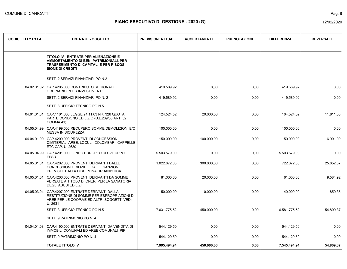| <b>CODICE TI.L2.L3.L4</b> | <b>ENTRATE - OGGETTO</b>                                                                                                                                     | <b>PREVISIONI ATTUALI</b> | <b>ACCERTAMENTI</b> | <b>PRENOTAZIONI</b> | <b>DIFFERENZA</b> | <b>REVERSALI</b> |
|---------------------------|--------------------------------------------------------------------------------------------------------------------------------------------------------------|---------------------------|---------------------|---------------------|-------------------|------------------|
|                           | TITOLO IV - ENTRATE PER ALIENAZIONE E<br>AMMORTAMENTO DI BENI PATRIMONIALI, PER<br><b>TRASFERIMENTO DI CAPITALI E PER RISCOS-</b><br><b>SIONE DI CREDITI</b> |                           |                     |                     |                   |                  |
|                           | SETT. 2 SERVIZI FINANZIARI PO N.2                                                                                                                            |                           |                     |                     |                   |                  |
|                           | 04.02.01.02   CAP.4205.000 CONTRIBUTO REGIONALE<br>ORDINARIO PPER INVESTIMENTO                                                                               | 419.589,92                | 0,00                | 0,00                | 419.589,92        | 0,00             |
|                           | SETT. 2 SERVIZI FINANZIARI PO N. 2                                                                                                                           | 419.589,92                | 0,00                | 0,00                | 419.589,92        | 0,00             |
|                           | SETT. 3 UFFICIO TECNICO PO N.5                                                                                                                               |                           |                     |                     |                   |                  |
| 04.01.01.01               | CAP.1101.000 LEGGE 24.11.03 NR. 326 QUOTA<br>PARTE CONDONO EDILIZIO (D.L.269/03 ART. 32<br>COMMA 41)                                                         | 124.524,52                | 20.000,00           | 0,00                | 104.524,52        | 11.811,53        |
| 04.05.04.99               | CAP.4199.000 RECUPERO SOMME DEMOLIZIONI E/O<br><b>MESSA IN SICUREZZA</b>                                                                                     | 100.000.00                | 0,00                | 0.00                | 100.000,00        | 0.00             |
| 04.04.01.99               | CAP.4200.000 PROVENTI DI CONCESSIONI<br>CIMITERIALI AREE, LOCULI, COLOMBARI, CAPPELLE<br>ETC CAP. U. 2680                                                    | 150.000,00                | 100.000,00          | 0,00                | 50.000,00         | 6.901,00         |
| 04.05.04.99               | CAP.4201.000 FONDO EUROPEO DI SVILUPPO<br><b>FESR</b>                                                                                                        | 5.503.579,00              | 0,00                | 0,00                | 5.503.579,00      | 0,00             |
| 04.05.01.01               | CAP 4202.000 PROVENTI DERIVANTI DALLE<br>CONCESSIONI EDILIZIE E DALLE SANZIONI<br>PREVISTE DALLA DISCIPLINA URBANISTICA                                      | 1.022.672,00              | 300.000,00          | 0,00                | 722.672,00        | 25.652,57        |
| 04.05.01.01               | CAP.4206.000 PROVENTI DERIVANTI DA SOMME<br>VERSATE A TITOLO DI ONERI PER LA SANATORIA<br><b>DEGLI ABUSI EDILIZI</b>                                         | 81.000,00                 | 20.000,00           | 0,00                | 61.000,00         | 9.584,92         |
| 04.05.03.04               | CAP.4207.000 ENTRATE DERIVANTI DALLA<br>RESTITUZIONE DI SOMME PER ESPROPRIAZIONI DI<br>AREE PER LE COOP VE ED ALTRI SOGGETTI VEDI<br>U. 2631                 | 50.000,00                 | 10.000,00           | 0,00                | 40.000,00         | 859,35           |
|                           | SETT. 3 UFFICIO TECNICO PO N.5                                                                                                                               | 7.031.775,52              | 450.000,00          | 0,00                | 6.581.775.52      | 54.809.37        |
|                           | SETT. 9 PATRIMONIO PO N. 4                                                                                                                                   |                           |                     |                     |                   |                  |
| 04.04.01.08               | CAP.4190.000 ENTRATE DERIVANTI DA VENDITA DI<br>IMMOBILI COMUNALI ED AREE COMUNALI PIP                                                                       | 544.129,50                | 0,00                | 0,00                | 544.129,50        | 0,00             |
|                           | SETT. 9 PATRIMONIO PO N. 4                                                                                                                                   | 544.129,50                | 0,00                | 0,00                | 544.129,50        | 0,00             |
|                           | <b>TOTALE TITOLO IV</b>                                                                                                                                      | 7.995.494,94              | 450.000,00          | 0,00                | 7.545.494,94      | 54.809,37        |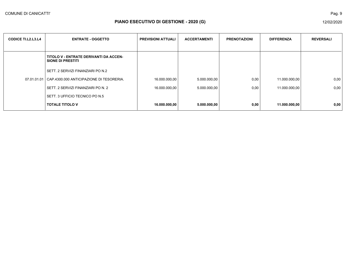| <b>CODICE TI.L2.L3.L4</b> | <b>ENTRATE - OGGETTO</b>                                           | <b>PREVISIONI ATTUALI</b> | <b>ACCERTAMENTI</b> | <b>PRENOTAZIONI</b> | <b>DIFFERENZA</b> | <b>REVERSALI</b> |
|---------------------------|--------------------------------------------------------------------|---------------------------|---------------------|---------------------|-------------------|------------------|
|                           | TITOLO V - ENTRATE DERIVANTI DA ACCEN-<br><b>SIONE DI PRESTITI</b> |                           |                     |                     |                   |                  |
|                           | I SETT. 2 SERVIZI FINANZIARI PO N.2                                |                           |                     |                     |                   |                  |
|                           | 07.01.01.01 CAP.4300.000 ANTICIPAZIONE DI TESORERIA.               | 16.000.000,00             | 5.000.000,00        | 0,00                | 11.000.000,00     | 0,00             |
|                           | SETT. 2 SERVIZI FINANZIARI PO N. 2                                 | 16.000.000,00             | 5.000.000,00        | 0,00                | 11.000.000,00     | 0,00             |
|                           | SETT. 3 UFFICIO TECNICO PO N.5                                     |                           |                     |                     |                   |                  |
|                           | <b>TOTALE TITOLO V</b>                                             | 16.000.000,00             | 5.000.000,00        | 0,00                | 11.000.000,00     | 0,00             |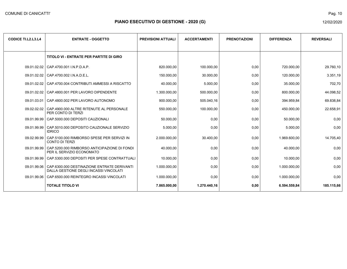| <b>CODICE TI.L2.L3.L4</b> | <b>ENTRATE - OGGETTO</b>                                                              | <b>PREVISIONI ATTUALI</b> | <b>ACCERTAMENTI</b> | <b>PRENOTAZIONI</b> | <b>DIFFERENZA</b> | <b>REVERSALI</b> |
|---------------------------|---------------------------------------------------------------------------------------|---------------------------|---------------------|---------------------|-------------------|------------------|
|                           |                                                                                       |                           |                     |                     |                   |                  |
|                           | TITOLO VI - ENTRATE PER PARTITE DI GIRO                                               |                           |                     |                     |                   |                  |
| 09.01.02.02               | CAP.4700.001 I.N.P.D.A.P.                                                             | 820.000,00                | 100.000,00          | 0,00                | 720.000,00        | 29.760,10        |
| 09.01.02.02               | CAP.4700.002 I.N.A.D.E.L.                                                             | 150.000,00                | 30.000,00           | 0,00                | 120.000,00        | 3.351,19         |
| 09.01.02.02               | CAP.4700.004 CONTRIBUTI AMMESSI A RISCATTO                                            | 40.000,00                 | 5.000,00            | 0,00                | 35.000,00         | 702,70           |
| 09.01.02.02               | CAP.4800.001 PER LAVORO DIPENDENTE                                                    | 1.300.000,00              | 500.000,00          | 0,00                | 800.000,00        | 44.098,52        |
| 09.01.03.01               | CAP.4800.002 PER LAVORO AUTONOMO                                                      | 900.000,00                | 505.040,16          | 0,00                | 394.959,84        | 69.838,84        |
| 09.02.02.02               | CAP.4900.000 ALTRE RITENUTE AL PERSONALE<br>PER CONTO DI TERZI                        | 550.000,00                | 100.000,00          | 0,00                | 450.000,00        | 22.658,91        |
| 09.01.99.99               | CAP.5000.000 DEPOSITI CAUZIONALI                                                      | 50.000,00                 | 0,00                | 0,00                | 50.000,00         | 0,00             |
| 09.01.99.99               | CAP.5010.000 DEPOSITO CAUZIONALE SERVIZIO<br><b>IDRICO</b>                            | 5.000,00                  | 0,00                | 0,00                | 5.000,00          | 0,00             |
| 09.02.99.99               | CAP.5100.000 RIMBORSO SPESE PER SERVIZI IN<br><b>CONTO DI TERZI</b>                   | 2.000.000,00              | 30.400,00           | 0,00                | 1.969.600,00      | 14.705,40        |
| 09.01.99.99               | CAP.5200.000 RIMBORSO ANTICIPAZIONE DI FONDI<br>PER IL SERVIZIO ECONOMATO             | 40.000,00                 | 0,00                | 0,00                | 40.000,00         | 0,00             |
|                           | 09.01.99.99   CAP.5300.000 DEPOSITI PER SPESE CONTRATTUALI                            | 10.000.00                 | 0,00                | 0,00                | 10.000,00         | 0,00             |
| 09.01.99.06               | CAP.6300.000 DESTINAZIONE ENTRATE DERIVANTI<br>DALLA GESTIONE DEGLI INCASSI VINCOLATI | 1.000.000.00              | 0,00                | 0,00                | 1.000.000.00      | 0,00             |
| 09.01.99.06               | CAP.6500.000 REINTEGRO INCASSI VINCOLATI                                              | 1.000.000,00              | 0,00                | 0,00                | 1.000.000,00      | 0,00             |
|                           | <b>TOTALE TITOLO VI</b>                                                               | 7.865.000,00              | 1.270.440,16        | 0,00                | 6.594.559,84      | 185.115,66       |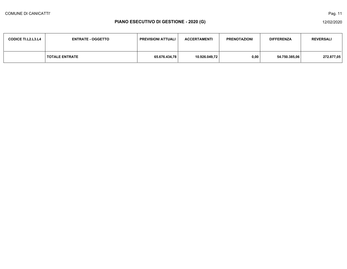| <b>CODICE TI.L2.L3.L4</b> | <b>ENTRATE - OGGETTO</b> | <b>PREVISIONI ATTUALI</b> | <b>ACCERTAMENTI</b> | <b>PRENOTAZIONI</b> | <b>DIFFERENZA</b> | <b>REVERSALI</b> |
|---------------------------|--------------------------|---------------------------|---------------------|---------------------|-------------------|------------------|
|                           | <b>TOTALE ENTRATE</b>    | 65.676.434,78             | 10.926.049,72       | 0,00                | 54.750.385,06     | 272.877,05       |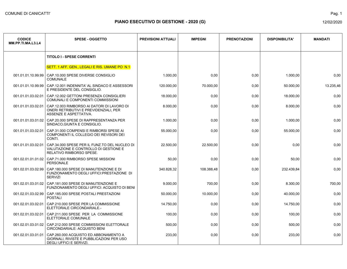| <b>CODICE</b><br>MM.PP.TI.MA.L3.L4 | <b>SPESE - OGGETTO</b>                                                                                             | <b>PREVISIONI ATTUALI</b> | <b>IMPEGNI</b> | <b>PRENOTAZIONI</b> | <b>DISPONIBILITA'</b> | <b>MANDATI</b> |
|------------------------------------|--------------------------------------------------------------------------------------------------------------------|---------------------------|----------------|---------------------|-----------------------|----------------|
|                                    | <b>TITOLO I - SPESE CORRENTI</b>                                                                                   |                           |                |                     |                       |                |
|                                    | SETT. 1 AFF. GEN., LEGALI E RIS. UMANE PO N.1                                                                      |                           |                |                     |                       |                |
| 001.01.01.10.99.99                 | CAP.10.000 SPESE DIVERSE CONSIGLIO<br><b>COMUNALE</b>                                                              | 1.000,00                  | 0,00           | 0,00                | 1.000,00              | 0,00           |
| 001.01.01.10.99.99                 | CAP.12.001 INDENNITA' AL SINDACO E ASSESSORI<br>E PRESIDENTE DEL CONSIGLIO.                                        | 120.000,00                | 70.000,00      | 0,00                | 50.000,00             | 13.235,46      |
| 001.01.01.03.02.01                 | CAP.12.002 GETTONI PRESENZA CONSIGLIERI<br>COMUNALI E COMPONENTI COMMISSIONI                                       | 18.000,00                 | 0,00           | 0,00                | 18.000,00             | 0,00           |
| 001.01.01.03.02.01                 | CAP.12.003 RIMBORSO AI DATORI DI LAVORO DI<br>ONERI RETRIBUTIVI E PREVIDENZIALI, PER<br>ASSENZE E ASPETTATIVA.     | 8.000,00                  | 0,00           | 0,00                | 8.000,00              | 0,00           |
| 001.01.01.03.01.02                 | CAP.20.000 SPESE DI RAPPRESENTANZA PER<br>SINDACO, GIUNTA E CONSIGLIO.                                             | 1.000,00                  | 0,00           | 0,00                | 1.000,00              | 0,00           |
| 001.01.01.03.02.01                 | CAP.31.000 COMPENSI E RIMBORSI SPESE AI<br>COMPONENTI IL COLLEGIO DEI REVISORI DEI<br>CONTI.                       | 55.000,00                 | 0,00           | 0,00                | 55.000,00             | 0,00           |
| 001.01.01.03.02.01                 | CAP.34.000 SPESE PER IL FUNZ TO DEL NUCLEO DI<br>VALUTAZIONE E CONTROLLO DI GESTIONE E<br>RELATIVO RIMBORSO SPESE. | 22.500,00                 | 22.500,00      | 0,00                | 0,00                  | 0,00           |
| 001.02.01.01.01.02                 | CAP.71.000 RIMBORSO SPESE MISSIONI<br><b>PERSONALE</b>                                                             | 50,00                     | 0,00           | 0,00                | 50,00                 | 0,00           |
| 001.02.01.03.02.99                 | CAP.180.000 SPESE DI MANUTENZIONE E DI<br>FUNZIONAMENTO DEGLI UFFICI: PRESTAZIONE DI<br><b>SERVIZI</b>             | 340.828,32                | 108.388,48     | 0,00                | 232.439,84            | 0,00           |
| 001.02.01.03.01.02                 | CAP.181.000 SPESE DI MANUTENZIONE E<br>FUNZIONAMENTO DEGLI UFFICI: ACQUISTO DI BENI                                | 9.000,00                  | 700,00         | 0,00                | 8.300,00              | 700,00         |
| 001.02.01.03.02.99                 | CAP.185.000 SPESE POSTALI PRESTAZIONI<br><b>POSTALI</b>                                                            | 50.000,00                 | 10.000,00      | 0,00                | 40.000,00             | 0,00           |
| 001.02.01.03.02.01                 | CAP.210.000 SPESE PER LA COMMISSIONE<br>ELETTORALE CIRCONDARIALE.-                                                 | 14.750,00                 | 0,00           | 0,00                | 14.750,00             | 0,00           |
| 001.02.01.03.02.01                 | CAP.211.000 SPESE PER LA COMMISSIONE<br>ELETTORALE COMUNALE                                                        | 100,00                    | 0,00           | 0,00                | 100,00                | 0,00           |
| 001.02.01.03.01.02                 | CAP.212.000 SPESE COMMISSIONI ELETTORALE<br>CIRCONDARIALE: ACQUISTO BENI                                           | 500,00                    | 0,00           | 0,00                | 500,00                | 0,00           |
| 001.02.01.03.01.01                 | CAP.260.000 ACQUISTO ED ABBONAMENTO A<br>GIORNALI, RIVISTE E PUBBLICAZIONI PER USO<br>DEGLI UFFICI E SERVIZI.      | 233,00                    | 0,00           | 0,00                | 233,00                | 0,00           |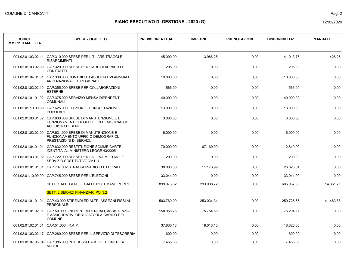Pag. 2

| <b>CODICE</b><br>MM.PP.TI.MA.L3.L4 | <b>SPESE - OGGETTO</b>                                                                                       | <b>PREVISIONI ATTUALI</b> | <b>IMPEGNI</b> | <b>PRENOTAZIONI</b> | <b>DISPONIBILITA'</b> | <b>MANDATI</b> |
|------------------------------------|--------------------------------------------------------------------------------------------------------------|---------------------------|----------------|---------------------|-----------------------|----------------|
| 001.02.01.03.02.11                 | CAP.310.000 SPESE PER LITI, ARBITRAGGI E<br><b>RISARCIMENTI</b>                                              | 45.000,00                 | 3.986,25       | 0,00                | 41.013,75             | 426,25         |
| 001.02.01.03.02.99                 | CAP.320.000 SPESE PER GARE DI APPALTO E<br><b>CONTRATTI</b>                                                  | 205,00                    | 0,00           | 0,00                | 205,00                | 0,00           |
| 001.02.01.04.01.01                 | CAP.330.000 CONTRIBUTI ASSOCIATIVI ANNUALI<br>ANCI NAZIONALE E REGIONALE.                                    | 10.000,00                 | 0,00           | 0,00                | 10.000,00             | 0,00           |
| 001.02.01.03.02.10                 | CAP.355.000 SPESE PER COLLABORAZIONI<br><b>ESTERNE</b>                                                       | 566,00                    | 0,00           | 0,00                | 566,00                | 0,00           |
| 001.02.01.01.01.02                 | CAP.375.000 SERVIZIO MENSA DIPENDENTI<br><b>COMUNALI</b>                                                     | 40.000,00                 | 0,00           | 0,00                | 40.000,00             | 0,00           |
| 001.02.01.10.99.99                 | CAP.625.000 ELEZIONI E CONSULTAZIONI<br><b>POPOLARI</b>                                                      | 13.000,00                 | 0,00           | 0,00                | 13.000,00             | 0,00           |
| 001.02.01.03.01.02                 | CAP.630.000 SPESE DI MANUTENZIONE E DI<br>FUNZIONAMENTO DEGLI UFFICI DEMOGRAFICI:<br><b>ACQUISTO DI BENI</b> | 3.000,00                  | 0,00           | 0,00                | 3.000,00              | 0,00           |
| 001.02.01.03.02.99                 | CAP 631,000 SPESE DI MANUTENZIONE E<br><b>FUNZIONAMENTO UFFICIO DEMOGRAFICI:</b><br>PRESTAZIO NI DI SERVIZI. | 6.000.00                  | 0,00           | 0,00                | 6.000.00              | 0,00           |
| 001.02.01.04.01.01                 | CAP.632.000 RESTITUZIONE SOMME CARTE<br><b>IDENTITA' AL MINISTERO LEGGE 43/2005</b>                          | 70.000,00                 | 67.160,00      | 0,00                | 2.840,00              | 0,00           |
| 001.02.01.03.01.02                 | CAP.722.000 SPESE PER LA LEVA MILITARE E<br>SERVIZIO SOSTITUTIVO VV.UU.                                      | 200,00                    | 0,00           | 0,00                | 200,00                | 0,00           |
| 001.01.01.01.01.01                 | CAP.737.002 STRAORDINARIO ELETTORALE                                                                         | 38.000,00                 | 11.173,99      | 0,00                | 26.826,01             | 0,00           |
| 001.02.01.10.99.99                 | CAP.745.000 SPESE PER L'ELEZIONI                                                                             | 33.044,00                 | 0,00           | 0,00                | 33.044,00             | 0,00           |
|                                    | SETT. 1 AFF. GEN., LEGALI E RIS. UMANE PO N.1                                                                | 899.976,32                | 293.908,72     | 0,00                | 606.067,60            | 14.361,71      |
|                                    | <b>SETT. 2 SERVIZI FINANZIARI PO N.2</b>                                                                     |                           |                |                     |                       |                |
| 001.02.01.01.01.01                 | CAP.40.000 STIPENDI ED ALTRI ASSEGNI FISSI AL<br>PERSONALE.                                                  | 503.760,99                | 253.034,34     | 0,00                | 250.726,65            | 41.483,88      |
| 001.02.01.01.02.01                 | CAP.50.000 ONERI PREVIDENZIALI, ASSISTENZIALI<br>E ASSICURATIVI OBBLIGATORI A CARICO DEL<br>COMUNE.          | 150.958,75                | 75.754,58      | 0,00                | 75.204,17             | 0,00           |
| 001.02.01.02.01.01                 | CAP.51.000 I.R.A.P.                                                                                          | 37.836,18                 | 19.016,15      | 0,00                | 18.820,03             | 0,00           |
| 001.02.01.03.02.17                 | CAP.280.000 SPESE PER IL SERVIZIO DI TESORERIA                                                               | 600,00                    | 0,00           | 0,00                | 600.00                | 0,00           |
| 001.01.01.07.05.04                 | CAP.385.000 INTERESSI PASSIVI ED ONERI SU<br>MUTUI                                                           | 7.455,85                  | 0,00           | 0,00                | 7.455,85              | 0,00           |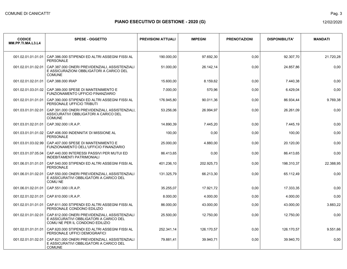Pag. 3

| <b>CODICE</b><br>MM.PP.TI.MA.L3.L4 | <b>SPESE - OGGETTO</b>                                                                                                       | <b>PREVISIONI ATTUALI</b> | <b>IMPEGNI</b> | <b>PRENOTAZIONI</b> | <b>DISPONIBILITA'</b> | <b>MANDATI</b> |
|------------------------------------|------------------------------------------------------------------------------------------------------------------------------|---------------------------|----------------|---------------------|-----------------------|----------------|
| 001.02.01.01.01.01                 | CAP.386.000 STIPENDI ED ALTRI ASSEGNI FISSI AL<br><b>PERSONALE</b>                                                           | 190.000,00                | 97.692,30      | 0,00                | 92.307,70             | 21.720,28      |
| 001.02.01.01.02.01                 | CAP.387.000 ONERI PREVIDENZIALI, ASSISTENZIALI<br>E ASSICURAZIONI OBBLIGATORI A CARICO DEL<br><b>COMUNE</b>                  | 51.000,00                 | 26.142,14      | 0,00                | 24.857,86             | 0,00           |
| 001.02.01.02.01.01                 | CAP.388.000 IRAP                                                                                                             | 15.600,00                 | 8.159,62       | 0,00                | 7.440,38              | 0,00           |
| 001.02.01.03.01.02                 | CAP.389.000 SPESE DI MANTENIMENTO E<br>FUNZIONAMENTO UFFICIO FINANZIARIO                                                     | 7.000,00                  | 570,96         | 0,00                | 6.429,04              | 0,00           |
| 001.02.01.01.01.01                 | CAP.390.000 STIPENDI ED ALTRI ASSEGNI FISSI AL<br>PERSONALE UFFICIO TRIBUTI                                                  | 176.945,80                | 90.011,36      | 0,00                | 86.934,44             | 9.769,38       |
| 001.03.01.01.02.01                 | CAP.391.000 ONERI PREVIDENZIALI, ASSISTENZIALI.<br>ASSICURATIVI OBBLIGATORI A CARICO DEL<br><b>COMUNE</b>                    | 53.256,06                 | 26.994,97      | 0,00                | 26.261,09             | 0,00           |
| 001.03.01.02.01.01                 | CAP.392.000 I.R.A.P.                                                                                                         | 14.890,39                 | 7.445,20       | 0,00                | 7.445,19              | 0,00           |
|                                    | 001.03.01.01.01.02 CAP.406.000 INDENNITA' DI MISSIONE AL<br><b>PERSONALE</b>                                                 | 100,00                    | 0,00           | 0,00                | 100,00                | 0,00           |
| 001.03.01.03.02.99                 | CAP.407.000 SPESE DI MANTENIMENTO E<br>FUNZIONAMENTO DELL'UFFICIO FINANZIARIO                                                | 25.000,00                 | 4.880,00       | 0,00                | 20.120,00             | 0,00           |
| 001.03.01.07.05.04                 | CAP.440.000 INTERESSI PASSIVI PER MUTUI ED<br><b>INDEBITAMENTI PATRIMONIALI</b>                                              | 86.413,65                 | 0,00           | 0,00                | 86.413.65             | 0,00           |
| 001.06.01.01.01.01                 | CAP.540.000 STIPENDI ED ALTRI ASSEGNI FISSI AL<br>PERSONALE                                                                  | 401.236,10                | 202.925,73     | 0,00                | 198.310,37            | 22.388,95      |
| 001.06.01.01.02.01                 | CAP.550.000 ONERI PREVIDENZIALI, ASSISTENZIALI<br>E ASSICURATIVI OBBLIGATORI A CARICO DEL<br>COMU NE                         | 131.325,79                | 66.213,30      | 0,00                | 65.112,49             | 0,00           |
| 001.06.01.02.01.01                 | CAP.551.000 I.R.A.P.                                                                                                         | 35.255,07                 | 17.921.72      | 0,00                | 17.333.35             | 0,00           |
| 001.02.01.02.01.01                 | CAP.610.000 I.R.A.P.                                                                                                         | 8.000,00                  | 4.000,00       | 0,00                | 4.000,00              | 0,00           |
| 001.02.01.01.01.01                 | CAP.611.000 STIPENDI ED ALTRI ASSEGNI FISSI AL<br>PERSONALE CONDONO EDILIZIO                                                 | 86.000,00                 | 43.000,00      | 0,00                | 43.000,00             | 3.883,22       |
| 001.02.01.01.02.01                 | CAP.612.000 ONERI PREVIDENZIALI. ASSISTENZIALI<br>E ASSICURATIVI OBBLIGATORI A CARICO DEL<br>COMU NE PER IL CONDONO EDILIZIO | 25.500,00                 | 12.750,00      | 0,00                | 12.750,00             | 0,00           |
| 001.02.01.01.01.01                 | CAP.620.000 STIPENDI ED ALTRI ASSEGNI FISSI AL<br>PERSONALE UFFICI DEMOGRAFICI                                               | 252.341.14                | 126.170,57     | 0,00                | 126.170,57            | 9.551,66       |
| 001.02.01.01.02.01                 | CAP.621.000 ONERI PREVIDENZIALI, ASSISTENZIALI<br>E ASSICURATIVI OBBLIGATORI A CARICO DEL<br><b>COMUNE</b>                   | 79.881,41                 | 39.940,71      | 0,00                | 39.940,70             | 0,00           |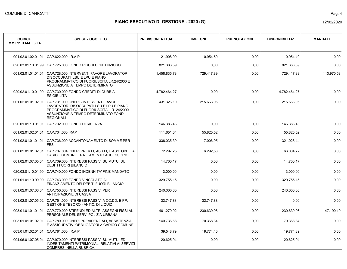| <b>CODICE</b><br>MM.PP.TI.MA.L3.L4 | <b>SPESE - OGGETTO</b>                                                                                                                                                                     | <b>PREVISIONI ATTUALI</b> | <b>IMPEGNI</b> | <b>PRENOTAZIONI</b> | <b>DISPONIBILITA'</b> | <b>MANDATI</b> |
|------------------------------------|--------------------------------------------------------------------------------------------------------------------------------------------------------------------------------------------|---------------------------|----------------|---------------------|-----------------------|----------------|
| 001.02.01.02.01.01                 | CAP.622.000 I.R.A.P.                                                                                                                                                                       | 21.908.99                 | 10.954,50      | 0,00                | 10.954,49             | 0,00           |
| 020.03.01.10.01.99                 | CAP.725.000 FONDO RISCHI CONTENZIOSO                                                                                                                                                       | 821.386,59                | 0,00           | 0,00                | 821.386,59            | 0,00           |
| 001.02.01.01.01.01                 | CAP.728.000 INTERVENTI FAVORE LAVORATORI<br>DISOCCUPATI LSU E LPU E PIANO<br>PROGRAMMATICO DI FUORIUSCITA LR.24/2000 E<br>ASSUNZIONE A TEMPO DETERMINATO                                   | 1.458.835,78              | 729.417,89     | 0,00                | 729.417,89            | 113.970,58     |
| 020.02.01.10.01.99                 | CAP.730.000 FONDO CREDITI DI DUBBIA<br><b>ESIGIBILITA'</b>                                                                                                                                 | 4.782.464.27              | 0,00           | 0,00                | 4.782.464,27          | 0,00           |
| 001.02.01.01.02.01                 | CAP.731.000 ONERI - INTERVENTI FAVORE<br>LAVORATORI DISOCCUPATI LSU E LPU E PIANO<br>PROGRAMMATICO DI FUORIUSCITA L.R. 24/2000<br>ASSUNZIONE A TEMPO DETERMINATO FONDI<br><b>REGIONALI</b> | 431.326,10                | 215.663,05     | 0,00                | 215.663,05            | 0,00           |
|                                    | 020.01.01.10.01.01   CAP.732.000 FONDO DI RISERVA                                                                                                                                          | 146.386,43                | 0,00           | 0,00                | 146.386,43            | 0,00           |
| 001.02.01.02.01.01                 | CAP.734.000 IRAP                                                                                                                                                                           | 111.651,04                | 55.825,52      | 0,00                | 55.825,52             | 0,00           |
| 001.02.01.01.01.01                 | CAP.736.000 ACCANTONAMENTO DI SOMME PER<br><b>FES</b>                                                                                                                                      | 338.035,39                | 17.006,95      | 0,00                | 321.028,44            | 0,00           |
| 001.02.01.01.02.01                 | CAP.737.004 ONERI PREV.LI, ASS.LI, E ASS. OBBL. A<br>CARICO COMUNE TRATTAMENTO ACCESSORIO                                                                                                  | 72.297.25                 | 6.292,53       | 0,00                | 66.004,72             | 0.00           |
| 001.02.01.07.05.04                 | CAP.739,000 INTERESSI PASSIVI SU MUTUI SU<br><b>DEBITI FUORI BILANCIO</b>                                                                                                                  | 14.700.17                 | 0,00           | 0,00                | 14.700,17             | 0.00           |
| 020.03.01.10.01.99                 | CAP.740.000 FONDO INDENNITA' FINE MANDATO                                                                                                                                                  | 3.000,00                  | 0,00           | 0,00                | 3.000,00              | 0,00           |
| 001.01.01.10.99.99                 | CAP.743.000 FONDO VINCOLATO AL<br>FINANZIAMENTO DEI DEBITI FUORI BILANCIO                                                                                                                  | 329.755,15                | 0,00           | 0,00                | 329.755,15            | 0,00           |
| 001.02.01.07.06.04                 | CAP.750.000 INTERESSI PASSIVI PER<br>ANTICIPAZIONE DI CASSA                                                                                                                                | 240.000,00                | 0,00           | 0,00                | 240.000,00            | 0,00           |
| 001.02.01.07.05.02                 | CAP.751.000 INTERESSI PASSIVI A CC.DD. E PP.<br><b>GESTIONE TESORO - ANTIC. DI LIQUID.</b>                                                                                                 | 32.747,88                 | 32.747,88      | 0,00                | 0,00                  | 0,00           |
| 003 01 01 01 01 01                 | CAP.770.000 STIPENDI ED ALTRI ASSEGNI FISSI AL<br>PERSONALE DEL SERV. POLIZIA URBANA                                                                                                       | 461.279,92                | 230.639,96     | 0,00                | 230.639,96            | 47.190,19      |
| 003.01.01.01.02.01                 | CAP.780.000 ONERI PREVIDENZIALI, ASSISTENZIALI<br>E ASSICURATIVI OBBLIGATORI A CARICO COMUNE                                                                                               | 140.736,68                | 70.368,34      | 0,00                | 70.368,34             | 0,00           |
| 003.01.01.02.01.01                 | CAP.781.000 I.R.A.P.                                                                                                                                                                       | 39.548,79                 | 19.774,40      | 0,00                | 19.774,39             | 0,00           |
| 004.06.01.07.05.04                 | CAP.970.000 INTERESSI PASSIVI SU MUTUI ED<br>INDEBITAMENTI PATRIMONIALI RELATIVI AI SERVIZI<br><b>COMPRESI NELLA RUBRICA.</b>                                                              | 20.625,94                 | 0,00           | 0,00                | 20.625,94             | 0,00           |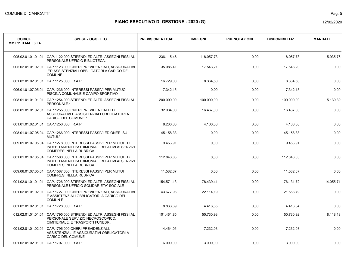Pag. 5

| <b>CODICE</b><br>MM.PP.TI.MA.L3.L4 | <b>SPESE - OGGETTO</b>                                                                                                         | <b>PREVISIONI ATTUALI</b> | <b>IMPEGNI</b> | <b>PRENOTAZIONI</b> | <b>DISPONIBILITA'</b> | <b>MANDATI</b> |
|------------------------------------|--------------------------------------------------------------------------------------------------------------------------------|---------------------------|----------------|---------------------|-----------------------|----------------|
| 005.02.01.01.01.01                 | CAP.1122.000 STIPENDI ED ALTRI ASSEGNI FISSI AL<br>PERSONALE UFFICIO BIBLIOTECA.                                               | 236.115,46                | 118.057,73     | 0,00                | 118.057,73            | 5.935,76       |
| 005.02.01.01.02.01                 | CAP.1123.000 ONERI PREVIDENZIALI, ASSICURATIVI<br>ED ASSISTENZIALI OBBLIGATORI A CARICO DEL<br>COMUNE.                         | 35.086,41                 | 17.543,21      | 0,00                | 17.543,20             | 0,00           |
| 001.02.01.02.01.01                 | CAP.1125.000 I.R.A.P.                                                                                                          | 16.729,00                 | 8.364,50       | 0,00                | 8.364,50              | 0,00           |
| 006.01.01.07.05.04                 | CAP.1236.000 INTERESSI PASSIVI PER MUTUO<br>PISCINA COMUNALE E CAMPO SPORTIVO                                                  | 7.342,15                  | 0,00           | 0,00                | 7.342,15              | 0,00           |
| 008.01.01.01.01.01                 | CAP.1254.000 STIPENDI ED ALTRI ASSEGNI FISSI AL<br>PERSONALE *                                                                 | 200.000,00                | 100.000,00     | 0,00                | 100.000,00            | 5.139,39       |
| 008.01.01.01.02.01                 | CAP.1255.000 ONERI PREVIDENZIALI ED<br>ASSICURATIVI E ASSISTENZIALI OBBLIGATORI A<br><b>CARICO DEL COMUNE.*</b>                | 32.934,00                 | 16.467,00      | 0,00                | 16.467,00             | 0.00           |
| 001.01.01.02.01.01                 | CAP.1256.000 I.R.A.P.                                                                                                          | 8.200.00                  | 4.100,00       | 0,00                | 4.100,00              | 0,00           |
| 008.01.01.07.05.04                 | CAP.1266.000 INTERESSI PASSIVI ED ONERI SU<br>MUTUI.*                                                                          | 45.158,33                 | 0,00           | 0,00                | 45.158,33             | 0,00           |
| 009.01.01.07.05.04                 | CAP.1278.000 INTERESSI PASSIVI PER MUTUI ED<br>INDEBITAMENTI PATRIMONIALI RELATIVI AI SERVIZI<br><b>COMPRESI NELLA RUBRICA</b> | 9.456,91                  | 0,00           | 0,00                | 9.456,91              | 0,00           |
| 001.01.01.07.05.04                 | CAP.1500.000 INTERESSI PASSIVI PER MUTUI ED<br>INDEBITAMENTI PATRIMONIALI RELATIVI AI SERVIZI<br><b>COMPRESI NELLA RUBRICA</b> | 112.843,83                | 0,00           | 0,00                | 112.843,83            | 0,00           |
| 009.06.01.07.05.04                 | CAP.1587.000 INTERESSI PASSIVI PER MUTUI<br><b>COMPRESI NELLA RUBRICA</b>                                                      | 11.582,67                 | 0,00           | 0,00                | 11.582,67             | 0,00           |
| 001.02.01.01.01.01                 | CAP.1726.000 STIPENDI ED ALTRI ASSEGNI FISSI AL<br>PERSONALE UFFICIO SOLIDARIETA' SOCIALE                                      | 154.571,13                | 78.439,41      | 0,00                | 76.131,72             | 14.055,71      |
| 001.02.01.01.02.01                 | CAP.1727.000 ONERI PREVIDENZIALI. ASSICURATIVI<br>E ASSISTENZIALI OBBLIGATORI A CARICO DEL<br><b>COMUNE</b>                    | 43.677,98                 | 22.114,19      | 0,00                | 21.563,79             | 0,00           |
| 001.02.01.02.01.01                 | CAP.1728.000 I.R.A.P.                                                                                                          | 8.833.69                  | 4.416,85       | 0,00                | 4.416,84              | 0,00           |
| 012.02.01.01.01.01                 | CAP. 1795.000 STIPENDI ED ALTRI ASSEGNI FISSI AL<br>PERSONALE SERVIZIO NECROSCOPICO.<br>CIMITERIALE, E TRASPORTI FUNEBRI.      | 101.461,85                | 50.730,93      | 0,00                | 50.730,92             | 8.118,18       |
| 001.02.01.01.02.01                 | CAP.1796.000 ONERI PREVIDENZIALI,<br>ASSISTENZIALI E ASSICURATIVI OBBLIGATORI A<br>CARICO DEL COMUNE.                          | 14.464,06                 | 7.232,03       | 0,00                | 7.232,03              | 0,00           |
| 001.02.01.02.01.01                 | CAP.1797.000 I.R.A.P.                                                                                                          | 6.000.00                  | 3.000.00       | 0.00                | 3.000.00              | 0,00           |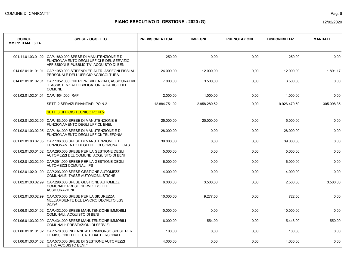| <b>CODICE</b><br>MM.PP.TI.MA.L3.L4 | <b>SPESE - OGGETTO</b>                                                                                                             | <b>PREVISIONI ATTUALI</b> | <b>IMPEGNI</b> | <b>PRENOTAZIONI</b> | <b>DISPONIBILITA'</b> | <b>MANDATI</b> |
|------------------------------------|------------------------------------------------------------------------------------------------------------------------------------|---------------------------|----------------|---------------------|-----------------------|----------------|
| 001.11.01.03.01.02                 | CAP.1880.000 SPESE DI MANUTENZIONE E DI<br>FUNZIONAMENTO DEGLI UFFICI E DEL SERVIZIO<br>AFFISSIONI E PUBBLICITA': ACQUISTO DI BENI | 250,00                    | 0,00           | 0,00                | 250,00                | 0.00           |
| 014.02.01.01.01.01                 | CAP.1950.000 STIPENDI ED ALTRI ASSEGNI FISSI AL<br>PERSONALE DELL'UFFICIO AGRICOLTURA.                                             | 24.000,00                 | 12.000,00      | 0,00                | 12.000,00             | 1.891,17       |
| 014.02.01.01.02.01                 | CAP.1952.000 ONERI PREVIDENZIALI, ASSICURATIVI<br>E ASSISTENZIALI OBBLIGATORI A CARICO DEL<br>COMUNE.                              | 7.000,00                  | 3.500,00       | 0,00                | 3.500,00              | 0,00           |
| 001.02.01.02.01.01                 | CAP.1954.000 IRAP                                                                                                                  | 2.000,00                  | 1.000,00       | 0,00                | 1.000,00              | 0,00           |
|                                    | SETT. 2 SERVIZI FINANZIARI PO N.2                                                                                                  | 12.884.751,02             | 2.958.280,52   | 0,00                | 9.926.470,50          | 305.098,35     |
|                                    | SETT. 3 UFFICIO TECNICO PO N.5                                                                                                     |                           |                |                     |                       |                |
| 001.02.01.03.02.05                 | CAP.183,000 SPESE DI MANUTENZIONE E<br><b>FUNZIONAMENTO DEGLI UFFICI: ENEL</b>                                                     | 25.000,00                 | 20.000,00      | 0,00                | 5.000,00              | 0,00           |
| 001.02.01.03.02.05                 | CAP.184.000 SPESE DI MANUTENZIONE E DI<br><b>FUNZIONAMENTO DEGLI UFFICI: TELEFONIA</b>                                             | 28.000,00                 | 0,00           | 0,00                | 28.000,00             | 0,00           |
| 001.02.01.03.02.05                 | CAP.186,000 SPESE DI MANUTENZIONE E DI<br>FUNZIONAMENTO DEGLI UFFICI COMUNALI: GAS                                                 | 39.000,00                 | 0,00           | 0,00                | 39.000,00             | 0,00           |
| 001.02.01.03.01.02                 | CAP.290.000 SPESE PER LA GESTIONE DEGLI<br>AUTOMEZZI DEL COMUNE: ACQUISTO DI BENI                                                  | 5.000,00                  | 0,00           | 0,00                | 5.000,00              | 0,00           |
| 001.02.01.03.02.99                 | CAP.291.000 SPESE PER LA GESTIONE DEGLI<br>AUTOMEZZI COMUNALI :PS                                                                  | 6.000,00                  | 0,00           | 0,00                | 6.000,00              | 0.00           |
| 001.02.01.02.01.09                 | CAP.293.000 SPESE GESTIONE AUTOMEZZI<br>COMUNALE: TASSE AUTOMOBILISTICHE                                                           | 4.000,00                  | 0,00           | 0,00                | 4.000,00              | 0,00           |
| 001.02.01.03.02.99                 | CAP.296.000 SPESE GESTIONE AUTOMEZZI<br>COMUNALI: PREST. SERVIZI BOLLI E<br><b>ASSICURAZIONI</b>                                   | 6.000,00                  | 3.500,00       | 0,00                | 2.500,00              | 3.500,00       |
| 001.02.01.03.02.99                 | CAP.370.000 SPESE PER LA SICUREZZA<br>NELL'AMBIENTE DEL LAVORO DECRETO LGS.<br>626/94                                              | 10.000,00                 | 9.277,50       | 0,00                | 722,50                | 0,00           |
| 001.06.01.03.01.02                 | CAP.432.000 SPESE MANUTENZIONE IMMOBILI<br><b>COMUNALI: ACQUISTO DI BENI</b>                                                       | 10.000,00                 | 0,00           | 0,00                | 10.000,00             | 0,00           |
| 001.06.01.03.02.09                 | CAP.434.000 SPESE MANUTENZIONE IMMOBILI<br>COMUNALI: PRESTAZIONI DI SERVIZI                                                        | 6.000,00                  | 554,00         | 0,00                | 5.446,00              | 550,00         |
| 001.06.01.01.01.02                 | CAP.570.000 INDENNITA' E RIMBORSO SPESE PER<br>LE MISSIONI EFFETTUATE DAL PERSONALE                                                | 100,00                    | 0,00           | 0,00                | 100,00                | 0,00           |
| 001.06.01.03.01.02                 | CAP.573.000 SPESE DI GESTIONE AUTOMEZZI<br>U.T.C. ACQUISTO BENI *                                                                  | 4.000,00                  | 0,00           | 0,00                | 4.000,00              | 0,00           |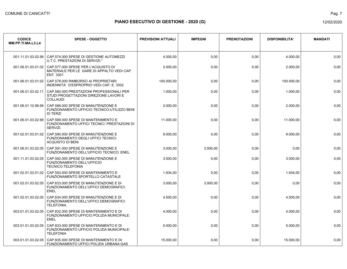| <b>CODICE</b><br>MM.PP.TI.MA.L3.L4 | <b>SPESE - OGGETTO</b>                                                                                       | <b>PREVISIONI ATTUALI</b> | <b>IMPEGNI</b> | <b>PRENOTAZIONI</b> | <b>DISPONIBILITA'</b> | <b>MANDATI</b> |
|------------------------------------|--------------------------------------------------------------------------------------------------------------|---------------------------|----------------|---------------------|-----------------------|----------------|
| 001.11.01.03.02.99                 | CAP.574.000 SPESE DI GESTIONE AUTOMEZZI<br>U.T.C. PRESTAZIONI DI SERVIZI.*                                   | 4.000,00                  | 0,00           | 0,00                | 4.000,00              | 0,00           |
| 001.06.01.03.01.02                 | CAP.577.000 SPESE PER L'ACQUISTO DI<br>MATERIALE PER LE GARE DI APPALTO VEDI CAP.<br>ENT. 3301               | 2.000,00                  | 0,00           | 0,00                | 2.000,00              | 0,00           |
| 001.06.01.03.01.02                 | CAP.578.000 RIMBORSO AI PROPRIETARI<br>INDENNITA' D'ESPROPRIO VEDI CAP. E. 3302                              | 100.000.00                | 0,00           | 0,00                | 100.000,00            | 0,00           |
| 001.06.01.03.02.11                 | CAP.580.000 PRESTAZIONI PROFESSIONALI PER<br>STUDI PROGETTAZIONI DIREZIONE LAVORI E<br><b>COLLAUDI</b>       | 1.000,00                  | 0,00           | 0,00                | 1.000,00              | 0,00           |
| 001.06.01.10.99.99                 | CAP.588.000 SPESE DI MANUTENZIONE E<br>FUNZIONAMENTO UFFICIO TECNICO: UTILIZZO BENI<br><b>DI TERZI</b>       | 2.000,00                  | 0,00           | 0,00                | 2.000,00              | 0,00           |
| 001.06.01.03.02.99                 | CAP.589.000 SPESE DI MANTENIMENTO E<br>FUNZIONAMENTO UFFICI TECNICI: PRESTAZIONI DI<br>SERVIZI.              | 11.000,00                 | 0,00           | 0,00                | 11.000,00             | 0,00           |
| 001.02.01.03.01.02                 | CAP.590.000 SPESE DI MANUTENZIONE E<br><b>FUNZIONAMENTO DEGLI UFFICI TECNICI:</b><br><b>ACQUISTO DI BENI</b> | 9.000,00                  | 0,00           | 0,00                | 9.000,00              | 0,00           |
| 001.06.01.03.02.05                 | CAP.591.000 SPESE DI MANUTENZIONE E<br>FUNZIONAMENTO DELL'UFFICIO TECNICO: ENEL                              | 3.000,00                  | 3.000,00       | 0,00                | 0,00                  | 0,00           |
| 001.11.01.03.02.05                 | CAP 592.000 SPESE DI MANUTENZIONE E<br><b>FUNZIONAMENTO DELL'UFFICIO</b><br><b>TECNICO:TELEFONIA</b>         | 3.500,00                  | 0,00           | 0,00                | 3.500,00              | 0,00           |
| 001.02.01.03.01.02                 | CAP.593.000 SPESE DI MANTENIMENTO E<br>FUNZIONAMENTO SPORTELLO CATASTALE                                     | 1.934,00                  | 0,00           | 0,00                | 1.934,00              | 0,00           |
| 001.02.01.03.02.05                 | CAP.633.000 SPESE DI MANUTENZIONE E DI<br>FUNZIONAMENTO DELL'UFFICI DEMOGRAFICI:<br><b>ENEL</b>              | 3.000,00                  | 3.000,00       | 0,00                | 0,00                  | 0,00           |
| 001.02.01.03.02.05                 | CAP.634.000 SPESE DI MANUTENZIONE E DI<br>FUNZIONAMENTO DELL'UFFICI DEMOGRAFICI:<br><b>TELEFONIA</b>         | 4.500,00                  | 0,00           | 0,00                | 4.500,00              | 0,00           |
| 003.01.01.03.02.05                 | CAP.832.000 SPESE DI MANTENIMENTO E DI<br>FUNZIONAMENTO UFFICIO POLIZIA MUNICIPALE:<br><b>ENEL</b>           | 4.000,00                  | 0,00           | 0,00                | 4.000,00              | 0,00           |
| 003.01.01.03.02.05                 | CAP.833,000 SPESE DI MANTENIMENTO E DI<br>FUNZIONAMENTO UFFICIO POLIZIA MUNICIPALE:<br><b>TELEFONIA</b>      | 5.000,00                  | 0,00           | 0,00                | 5.000,00              | 0,00           |
| 003.01.01.03.02.05                 | CAP.835,000 SPESE DI MANTENIMENTO E DI<br>FUNZIONAMENTO UFFICI POLIZIA URBANA:GAS                            | 15.000,00                 | 0,00           | 0,00                | 15.000.00             | 0,00           |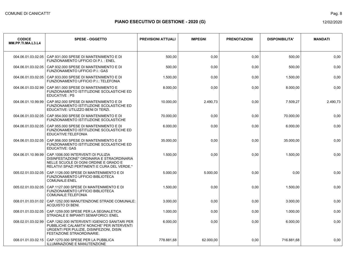| <b>CODICE</b><br>MM.PP.TI.MA.L3.L4 | <b>SPESE - OGGETTO</b>                                                                                                                                                    | <b>PREVISIONI ATTUALI</b> | <b>IMPEGNI</b> | <b>PRENOTAZIONI</b> | <b>DISPONIBILITA'</b> | <b>MANDATI</b> |
|------------------------------------|---------------------------------------------------------------------------------------------------------------------------------------------------------------------------|---------------------------|----------------|---------------------|-----------------------|----------------|
| 004.06.01.03.02.05                 | CAP.931.000 SPESE DI MANTENIMENTO E DI<br>FUNZIONAMENTO UFFICIO DI P.I.: ENEL                                                                                             | 500,00                    | 0,00           | 0,00                | 500,00                | 0,00           |
| 004.06.01.03.02.05                 | CAP.932.000 SPESE DI MANTENIMENTO E DI<br>FUNZIONAMENTO UFFICIO P.I.: GAS                                                                                                 | 500,00                    | 0,00           | 0,00                | 500,00                | 0,00           |
| 004.06.01.03.02.05                 | CAP.933.000 SPESE DI MANTENIMENTO E DI<br>FUNZIONAMENTO UFFICIO P.I.: TELEFONIA                                                                                           | 1.500,00                  | 0,00           | 0,00                | 1.500,00              | 0,00           |
| 004.06.01.03.02.99                 | CAP.951.000 SPESE DI MANTENIMENTO E<br>FUNZIONAMENTO ISTITUZIONE SCOLASTICHE ED<br>EDUCATIVE: PS                                                                          | 8.000,00                  | 0,00           | 0,00                | 8.000,00              | 0,00           |
| 004.06.01.10.99.99                 | CAP.952.000 SPESE DI MANTENIMENTO E DI<br>FUNZIONAMENTO ISTITUZIONE SCOLASTICHE ED<br>EDUCATIVE: UTILIZZO BENI DI TERZI.                                                  | 10.000,00                 | 2.490,73       | 0,00                | 7.509,27              | 2.490,73       |
| 004.06.01.03.02.05                 | CAP.954.000 SPESE DI MANTENIMENTO E DI<br>FUNZIONAMENTO ISTITUZIONE SCOLASTICHE                                                                                           | 70.000,00                 | 0,00           | 0,00                | 70.000,00             | 0,00           |
| 004.06.01.03.02.05                 | CAP.955.000 SPESE DI MANTENIMENTO E DI<br>FUNZIONAMENTO ISTITUZIONE SCOLASTICHE ED<br>EDUCATIVE:TELEFONIA                                                                 | 6.000,00                  | 0,00           | 0,00                | 6.000,00              | 0,00           |
| 004.06.01.03.02.05                 | CAP.956.000 SPESE DI MANTENIMENTO E DI<br>FUNZIONAMENTO ISTITUZIONE SCOLASTICHE ED<br><b>EDUCATIVE: GAS</b>                                                               | 35.000,00                 | 0,00           | 0,00                | 35.000,00             | 0,00           |
| 004.06.01.10.99.99                 | CAP.1006.000 INTERVENTI DI PULIZIA<br>DISINFESTAZIONE* ORDINARIA E STRAORDINARIA<br>NELLE SCUOLE DI OGNI ORDINE E GRADO E<br>RELATIVI SPAZI PERTINENTI E CURA DEL VERDE.* | 1.500,00                  | 0,00           | 0,00                | 1.500,00              | 0,00           |
| 005.02.01.03.02.05                 | CAP.1126.000 SPESE DI MANTENIMENTO E DI<br>FUNZIONAMENTO UFFICIO BIBLIOTECA<br>COMUNALE: ENEL                                                                             | 5.000,00                  | 5.000,00       | 0,00                | 0,00                  | 0,00           |
| 005.02.01.03.02.05                 | CAP.1127.000 SPESE DI MANTENIMENTO E DI<br>FUNZIONAMENTO UFFICIO BIBLIOTECA<br>COMUNALE:TELEFONIA                                                                         | 1.500,00                  | 0,00           | 0,00                | 1.500,00              | 0,00           |
| 008.01.01.03.01.02                 | CAP.1252.000 MANUTENZIONE STRADE COMUNALE:<br>ACQUISTO DI BENI.                                                                                                           | 3.000.00                  | 0,00           | 0,00                | 3.000,00              | 0.00           |
| 008.01.01.03.02.05                 | CAP.1259.000 SPESE PER LA SEGNALETICA<br>STRADALE E IMPIANTI SEMAFORICI: ENEL                                                                                             | 1.000,00                  | 0,00           | 0,00                | 1.000.00              | 0,00           |
| 008.02.01.03.02.99                 | CAP. 1262.000 INTERVENTI IGIENICO SANITARI PER<br>PUBBLICHE CALAMITA' NONCHE' PER INTERVENTI<br>URGENTI PER PULIZIE, DISINFEZIONI, DISIN<br>FESTAZIONE STRAORDINARIE.     | 6.000,00                  | 0,00           | 0,00                | 6.000,00              | 0,00           |
| 008.01.01.03.02.15                 | CAP.1270.000 SPESE PER LA PUBBLICA<br>ILLUMINAZIONE E MANUTENZIONE                                                                                                        | 778.881.68                | 62.000.00      | 0,00                | 716.881.68            | 0,00           |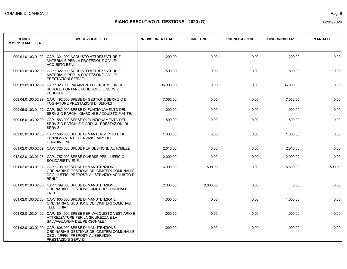| <b>CODICE</b><br>MM.PP.TI.MA.L3.L4 | <b>SPESE - OGGETTO</b>                                                                                                                                    | <b>PREVISIONI ATTUALI</b> | <b>IMPEGNI</b> | <b>PRENOTAZIONI</b> | <b>DISPONIBILITA'</b> | <b>MANDATI</b> |
|------------------------------------|-----------------------------------------------------------------------------------------------------------------------------------------------------------|---------------------------|----------------|---------------------|-----------------------|----------------|
| 009.01.01.03.01.02                 | CAP.1321.000 ACQUISTO ATTREZZATURE E<br>MATERIALE PER LA PROTEZIONE CIVILE:<br><b>ACQUISTO BENI.</b>                                                      | 200,00                    | 0,00           | 0,00                | 200,00                | 0,00           |
| 009.01.01.03.02.99                 | CAP.1322.000 ACQUISTO ATTREZZATURE E<br>MATERIALE PER LA PROTEZIONE CIVILE:<br>PRESTAZIONI SERVIZI                                                        | 500,00                    | 0,00           | 0,00                | 500,00                | 0,00           |
| 009.01.01.03.02.99                 | CAP.1323.000 PAGAMENTO CONSUMI IDRICI<br>SCUOLE, FONTANE PUBBLICHE, E SERVIZI<br>PUBBLICI.                                                                | 36.000,00                 | 0,00           | 0,00                | 36.000,00             | 0.00           |
| 009.04.01.03.02.99                 | CAP.1492.000 SPESE DI GESTIONE SERVIZIO DI<br>FOGNATURE PRESTAZIONI DI SERVIZI                                                                            | 7.062,00                  | 0,00           | 0.00                | 7.062,00              | 0.00           |
| 009.05.01.03.01.02                 | CAP.1582.000 SPESE DI FUNZIONAMENTO DEL<br>SERVIZIO PARCHI, GIARDINI E ACQUISTO PIANTE.                                                                   | 1.000.00                  | 0,00           | 0.00                | 1.000.00              | 0.00           |
| 009.05.01.03.02.99                 | CAP.1583.000 SPESE DI FUNZIONAMENTO DEL<br>SERVIZIO PARCHI E GIARDINI PRESTAZIONI DI<br>SERVIZI.                                                          | 1.500,00                  | 0,00           | 0.00                | 1.500,00              | 0,00           |
| 009.05.01.03.02.05                 | CAP.1585.000 SPESE DI MANTENIMENTO E DI<br><b>FUNZIONAMENTO SERVIZIO PARCHI E</b><br><b>GIARDINI:ENEL</b>                                                 | 1.000,00                  | 0,00           | 0,00                | 1.000,00              | 0,00           |
| 001.02.01.03.02.09                 | CAP.1725.000 SPESE PER GESTIONE AUTOMEZZI                                                                                                                 | 2.015.00                  | 0.00           | 0.00                | 2.015.00              | 0.00           |
|                                    | 012.02.01.03.02.05 CAP.1757.000 SPESE DIVERSE PER L'UFFICIO<br><b>SOLIDARIETA' ENEL</b>                                                                   | 2.000.00                  | 0.00           | 0.00                | 2.000,00              | 0.00           |
| 001.02.01.03.01.02                 | CAP.1798.000 SPESE DI MANUTENZIONE<br>ORDINARIA E GESTIONE DEI CIMITERI COMUNALI E<br>DEGLI UFFICI PREPOSTI AL SERVIZIO: ACQUISTO DI<br>BENI <sup>*</sup> | 6.000,00                  | 500,00         | 0.00                | 5.500,00              | 500,00         |
| 001.02.01.03.02.05                 | CAP.1799.000 SPESE DI MANUTENZIONE<br>ORDINARIA E GESTIONE CIMITERO CUMUNALE<br><b>ENEL</b>                                                               | 2.000.00                  | 2.000.00       | 0.00                | 0.00                  | 0.00           |
| 001.02.01.03.02.05                 | CAP.1800.000 SPESE DI MANUTENZIONE<br>ORDINARIA E GESTIONE DEI CIMITERI COMUNALI<br><b>TELEFONIA</b>                                                      | 1.000,00                  | 0,00           | 0,00                | 1.000,00              | 0,00           |
| 001.02.01.03.01.02                 | CAP. 1804.000 SPESE PER L'ACQUISTO VESTIARIO E<br>ATTREZZATURE PER LA SICUREZZA E LA<br>SALVAGUARDIA DEL PERSONALE.*                                      | 1.000,00                  | 0,00           | 0.00                | 1.000,00              | 0,00           |
| 001.02.01.03.02.99                 | CAP.1806.000 SPESE DI MANUTENZIONE<br>ORDINARIA E GESTIONE DEI CIMITERI COMUNALI E<br>DEGLI UFFICI PREPOSTI AL SERVIZIO:<br>PRESTAZIONI SERVIZI           | 1.000,00                  | 0,00           | 0,00                | 1.000,00              | 0,00           |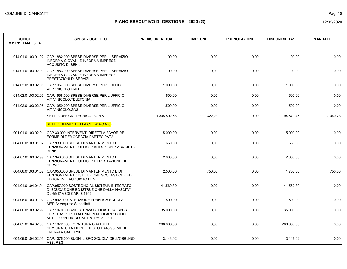| <b>CODICE</b><br>MM.PP.TI.MA.L3.L4 | <b>SPESE - OGGETTO</b>                                                                                                 | <b>PREVISIONI ATTUALI</b> | <b>IMPEGNI</b> | <b>PRENOTAZIONI</b> | <b>DISPONIBILITA'</b> | <b>MANDATI</b> |
|------------------------------------|------------------------------------------------------------------------------------------------------------------------|---------------------------|----------------|---------------------|-----------------------|----------------|
| 014.01.01.03.01.02                 | CAP.1882.000 SPESE DIVERSE PER IL SERVIZIO<br>INFORMA GIOVANI E INFORMA IMPRESE:<br>ACQUISTO DI BENI.                  | 100,00                    | 0,00           | 0,00                | 100,00                | 0,00           |
| 014.01.01.03.02.99                 | CAP.1883.000 SPESE DIVERSE PER IL SERVIZIO<br>INFORMA GIOVANI E INFORMA IMPRESE<br>PRESTAZIONI DI SERVIZI.             | 100,00                    | 0,00           | 0,00                | 100,00                | 0,00           |
| 014.02.01.03.02.05                 | CAP. 1957.000 SPESE DIVERSE PER L'UFFICIO<br><b>VITIVINICOLO ENEL</b>                                                  | 1.000,00                  | 0,00           | 0,00                | 1.000,00              | 0,00           |
| 014.02.01.03.02.05                 | CAP.1958.000 SPESE DIVERSE PER L'UFFICIO<br>VITIVINICOLO:TELEFONIA                                                     | 500,00                    | 0,00           | 0,00                | 500,00                | 0,00           |
| 014.02.01.03.02.05                 | CAP.1959.000 SPESE DIVERSE PER L'UFFICIO<br>VITIVINICOLO:GAS                                                           | 1.500,00                  | 0,00           | 0,00                | 1.500,00              | 0.00           |
|                                    | SETT. 3 UFFICIO TECNICO PO N.5                                                                                         | 1.305.892,68              | 111.322,23     | 0,00                | 1.194.570.45          | 7.040,73       |
|                                    | SETT. 4 SERVIZI DELLA CITTA' PO N.6                                                                                    |                           |                |                     |                       |                |
| 001.01.01.03.02.01                 | CAP.30.000 INTERVENTI DIRETTI A FAVORIRE<br>FORME DI DEMOCRAZIA PARTECIPATA                                            | 15.000.00                 | 0,00           | 0.00                | 15.000.00             | 0.00           |
| 004.06.01.03.01.02                 | CAP.930.000 SPESE DI MANTENIMENTO E<br>FUNZIONAMENTO UFFICI P.ISTRUZIONE: ACQUISTO<br>BENI:                            | 660,00                    | 0,00           | 0,00                | 660,00                | 0,00           |
| 004.07.01.03.02.99                 | CAP.940.000 SPESE DI MANTENIMENTO E<br>FUNZIONAMENTO UFFICI P.I. PRESTAZIONE DI<br>SERVIZI.                            | 2.000,00                  | 0,00           | 0,00                | 2.000,00              | 0,00           |
| 004.06.01.03.01.02                 | CAP.950.000 SPESE DI MANTENIMENTO E DI<br>FUNZIONAMENTO ISTITUZIONE SCOLASTICHE ED<br>EDUCATIVE: ACQUISTO BENI         | 2.500,00                  | 750,00         | 0,00                | 1.750,00              | 750,00         |
| 004.01.01.04.04.01                 | CAP.957.000 SOSTEGNO AL SISTEMA INTEGRATO<br>DI EDUCAZIONE ED ISTRUZIONE DALLA NASCITA'<br>DL 65/17 VEDI CAP. E 1709   | 41.560,30                 | 0,00           | 0,00                | 41.560,30             | 0,00           |
| 004.06.01.03.01.02                 | CAP.992.000 ISTRUZIONE PUBBLICA SCUOLA<br>MEDIA: Acquisto Suppellettili.                                               | 500,00                    | 0,00           | 0,00                | 500,00                | 0,00           |
| 004.06.01.03.02.99                 | CAP.1070.000 ASSISTENZA SCOLASTICA: SPESE<br>PER TRASPORTO ALUNNI PENDOLARI SCUOLE<br>MEDIE SUPERIORI CAP ENTRATA 2021 | 35.000,00                 | 0,00           | 0,00                | 35.000,00             | 0,00           |
| 004.05.01.04.02.05                 | CAP.1072.000 FORNITURA GRATUITA E<br>SEMIGRATUITA LIBRI DI TESTO L.448/98 *VEDI<br><b>ENTRATA CAP. 1710</b>            | 200.000,00                | 0,00           | 0,00                | 200.000,00            | 0,00           |
| 004.05.01.04.02.05                 | CAP.1075.000 BUONI LIBRO SCUOLA DELL'OBBLIGO<br>ASS. REG.                                                              | 3.146.02                  | 0,00           | 0.00                | 3.146.02              | 0,00           |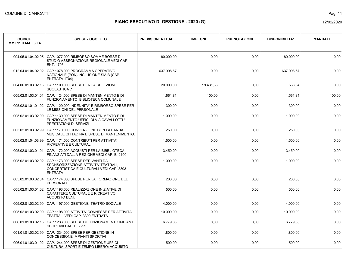| <b>CODICE</b><br>MM.PP.TI.MA.L3.L4 | <b>SPESE - OGGETTO</b>                                                                                                                | <b>PREVISIONI ATTUALI</b> | <b>IMPEGNI</b> | <b>PRENOTAZIONI</b> | <b>DISPONIBILITA'</b> | <b>MANDATI</b> |
|------------------------------------|---------------------------------------------------------------------------------------------------------------------------------------|---------------------------|----------------|---------------------|-----------------------|----------------|
|                                    | 004.05.01.04.02.05 CAP.1077.000 RIMBORSO SOMME BORSE DI<br>STUDIO ASSEGNAZIONE REGIONALE VEDI CAP.<br><b>ENT. 1703</b>                | 80.000,00                 | 0,00           | 0,00                | 80.000,00             | 0,00           |
| 012.04.01.04.02.02                 | CAP.1078.000 PROGRAMMA OPERATIVO<br>NAZIONALE (PON) INCLUSIONE SIA B (CAP.<br>ENTRATA 1704)                                           | 637.998.67                | 0.00           | 0,00                | 637.998.67            | 0.00           |
| 004.06.01.03.02.15                 | CAP.1100.000 SPESE PER LA REFEZIONE<br>SCOLASTICA *                                                                                   | 20.000.00                 | 19.431.36      | 0.00                | 568.64                | 0.00           |
| 005.02.01.03.01.01                 | CAP.1124.000 SPESE DI MANTENIMENTO E DI<br>FUNZIONAMENTO BIBLIOTECA COMUNALE                                                          | 1.661,81                  | 100,00         | 0,00                | 1.561,81              | 100,00         |
| 005.02.01.01.01.02                 | CAP.1129.000 INDENNITA' E RIMBORSO SPESE PER<br>LE MISSIONI DEL PERSONALE                                                             | 300,00                    | 0,00           | 0,00                | 300,00                | 0,00           |
| 005.02.01.03.02.99                 | CAP.1130.000 SPESE DI MANTENIMENTO E DI<br>FUNZIONAMENTO UFFICI DI VIA CAVALLOTTI *<br>PRESTAZIONI DI SERVIZI                         | 1.000,00                  | 0,00           | 0,00                | 1.000,00              | 0.00           |
| 005.02.01.03.02.99                 | CAP.1170.000 CONVENZIONE CON LA BANDA<br>MUSICALE CITTADINA E SPESE DI MANTENIMENTO.                                                  | 250,00                    | 0,00           | 0,00                | 250,00                | 0.00           |
| 005.02.01.04.03.99                 | CAP.1171.000 CONTRIBUTI PER ATTIVITA'<br>RICREATIVE E CULTURALI.                                                                      | 1.500,00                  | 0,00           | 0,00                | 1.500,00              | 0,00           |
| 005.02.01.03.01.01                 | CAP.1172.000 ACQUISTI PER LA BIBBLIOTECA<br>FINANZIATI DALLA REGIONE VEDI CAP. E. 2100                                                | 3.450,00                  | 0,00           | 0,00                | 3.450,00              | 0,00           |
| 005.02.01.03.02.02                 | CAP.1173.000 SPESE DERIVANTI DA<br>SPONSORIZZAZIONE ATTIVITA' TEATRALI,<br>CONCERTISTICA E CULTURALI VEDI CAP. 3303<br><b>ENTRATA</b> | 1.000,00                  | 0,00           | 0,00                | 1.000,00              | 0,00           |
| 005.02.01.03.02.04                 | CAP.1174.000 SPESE PER LA FORMAZIONE DEL<br>PERSONALE.                                                                                | 200,00                    | 0,00           | 0,00                | 200,00                | 0,00           |
|                                    | 005.02.01.03.01.02   CAP.1193.000 REALIZZAZIONE INIZIATIVE DI<br>CARATTERE CULTURALE E RICREATIVO:<br><b>ACQUISTO BENI.</b>           | 500,00                    | 0,00           | 0,00                | 500,00                | 0,00           |
| 005.02.01.03.02.99                 | CAP.1197.000 GESTIONE TEATRO SOCIALE                                                                                                  | 4.000,00                  | 0,00           | 0,00                | 4.000,00              | 0.00           |
| 005.02.01.03.02.99                 | CAP.1198.000 ATTIVITA' CONNESSE PER ATTIVITA'<br>TEATRALI VEDI CAP. 3300 ENTRATA                                                      | 10.000,00                 | 0,00           | 0,00                | 10.000,00             | 0,00           |
| 006.01.01.03.02.15                 | CAP.1233.000 SPESE DI FUNZIONAMENTO IMPIANTI<br>SPORTIVII CAP. E. 2299                                                                | 6.779,88                  | 0,00           | 0,00                | 6.779,88              | 0,00           |
| 001.01.01.03.02.99                 | CAP.1234.000 SPESE PER GESTIONE IN<br>CONCESSIONE IMPIANTI SPORTIVI                                                                   | 1.800,00                  | 0,00           | 0,00                | 1.800,00              | 0.00           |
| 006.01.01.03.01.02                 | CAP.1244.000 SPESE DI GESTIONE UFFICI<br>CULTURA, SPORT E TEMPO LIBERO: ACQUISTO                                                      | 500,00                    | 0,00           | 0,00                | 500,00                | 0,00           |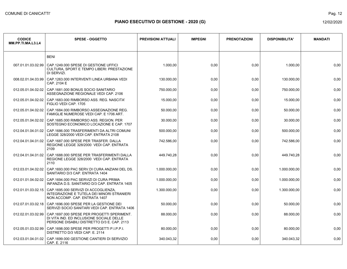| <b>CODICE</b><br>MM.PP.TI.MA.L3.L4 | <b>SPESE - OGGETTO</b>                                                                                                                 | <b>PREVISIONI ATTUALI</b> | <b>IMPEGNI</b> | <b>PRENOTAZIONI</b> | <b>DISPONIBILITA'</b> | <b>MANDATI</b> |
|------------------------------------|----------------------------------------------------------------------------------------------------------------------------------------|---------------------------|----------------|---------------------|-----------------------|----------------|
|                                    | <b>BENI</b>                                                                                                                            |                           |                |                     |                       |                |
| 007.01.01.03.02.99                 | CAP.1249.000 SPESE DI GESTIONE UFFICI<br>CULTURA, SPORT E TEMPO LIBERI: PRESTAZIONE<br>DI SERVIZI.                                     | 1.000,00                  | 0,00           | 0,00                | 1.000,00              | 0,00           |
| 008.02.01.04.03.99                 | CAP. 1263.000 INTERVENTI LINEA URBANA VEDI<br>CAP. 2104 E                                                                              | 130.000.00                | 0,00           | 0,00                | 130.000,00            | 0,00           |
| 012.05.01.04.02.02                 | CAP.1681.000 BONUS SOCIO SANITARIO<br>ASSEGNAZIONE REGIONALE VEDI CAP. 2106                                                            | 750.000,00                | 0,00           | 0,00                | 750.000,00            | 0,00           |
| 012.05.01.04.02.02                 | CAP. 1683,000 RIMBORSO ASS, REG. NASCITA'<br>FIGLIO VEDI CAP. 1705                                                                     | 15.000,00                 | 0,00           | 0,00                | 15.000,00             | 0,00           |
| 012.05.01.04.02.02                 | CAP. 1684.000 RIMBORSO ASSEGNAZIONE REG.<br>FAMIGLIE NUMEROSE VEDI CAP. E 1706 ART.                                                    | 50.000.00                 | 0,00           | 0,00                | 50.000,00             | 0,00           |
| 012.05.01.04.02.02                 | CAP. 1685,000 RIMBORSO ASS, REGION, PER<br>SOSTEGNO ECONOMICO LOCAZIONE E CAP. 1707                                                    | 30.000,00                 | 0,00           | 0,00                | 30.000,00             | 0,00           |
| 012.04.01.04.01.02                 | CAP.1686.000 TRASFERIMENTI DA ALTRI COMUNI<br>LEGGE 328/2000 VEDI CAP. ENTRATA 2108                                                    | 500.000,00                | 0,00           | 0,00                | 500.000,00            | 0,00           |
| 012.04.01.04.01.02                 | CAP.1687.000 SPESE PER TRASFER. DALLA<br>REGIONE LEGGE 328/2000 VEDI CAP. ENTRATA<br>2109                                              | 742.586,00                | 0,00           | 0,00                | 742.586,00            | 0,00           |
| 012.04.01.04.01.02                 | CAP. 1688.000 SPESE PER TRASFERIMENTI DALLA<br>REGIONE LEGGE 328/2000 VEDI CAP. ENTRATA<br>2110                                        | 449.740,28                | 0,00           | 0,00                | 449.740,28            | 0,00           |
| 012.03.01.04.02.02                 | CAP. 1693.000 PAC SERV. DI CURA ANZIANI DEL DS.<br>SANITARIO D/3 CAP. ENTRATA 1404                                                     | 1.000.000,00              | 0,00           | 0,00                | 1.000.000,00          | 0,00           |
| 012.01.01.04.02.02                 | CAP.1694.000 PAC SERVIZI DI CURA PRIMA<br>INFANZIA D.S. SANITARIO D/3 CAP. ENTRATA 1405                                                | 1.000.000,00              | 0,00           | 0,00                | 1.000.000,00          | 0,00           |
|                                    | 012.01.01.03.02.15 CAP.1695.000 SERVIZI DI ACCOGLIENZA,<br>INTEGRAZIONE E TUTELA DEI MINORI STRANIERI<br>NON ACCOMP. CAP. ENTRATA 1407 | 1.300.000,00              | 0,00           | 0,00                | 1.300.000,00          | 0,00           |
| 012.07.01.03.02.18                 | CAP.1696.000 SPESE PER LA GESTIONE DEI<br>SERVIZI SOCIO SANITARI VEDI CAP. ENTRATA 1406                                                | 50.000,00                 | 0,00           | 0,00                | 50.000,00             | 0,00           |
| 012.02.01.03.02.99                 | CAP.1697.000 SPESE PER PROGETTI SPERIMENT.<br>DI VITA IND. ED INCLUSIONE SOCIALE DELLE<br>PERSONE DISABILI DISTRETTO D/3 E. CAP. 2113  | 88.000,00                 | 0,00           | 0,00                | 88.000,00             | 0,00           |
| 012.05.01.03.02.99                 | CAP.1698.000 SPESE PER PROGETTI P.I.P.P.I.<br>DISTRETTO D/3 VEDI CAP. E. 2114                                                          | 80.000,00                 | 0,00           | 0,00                | 80.000,00             | 0,00           |
| 012.03.01.04.01.02                 | CAP. 1699.000 GESTIONE CANTIERI DI SERVIZIO<br>CAP. E. 2116                                                                            | 340.043.32                | 0.00           | 0,00                | 340.043.32            | 0,00           |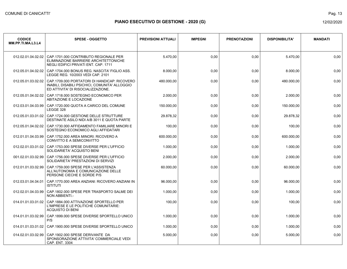Pag. 13

| <b>CODICE</b><br>MM.PP.TI.MA.L3.L4 | <b>SPESE - OGGETTO</b>                                                                                                               | <b>PREVISIONI ATTUALI</b> | <b>IMPEGNI</b> | <b>PRENOTAZIONI</b> | <b>DISPONIBILITA'</b> | <b>MANDATI</b> |
|------------------------------------|--------------------------------------------------------------------------------------------------------------------------------------|---------------------------|----------------|---------------------|-----------------------|----------------|
| 012.02.01.04.02.02                 | CAP.1701.000 CONTRIBUTO REGIONALE PER<br>ELIMINAZIONE BARRIERE ARCHITETTONICHE<br>NEGLI EDIFICI PRIVATI ENT. CAP. 1711               | 5.470.00                  | 0,00           | 0.00                | 5.470.00              | 0.00           |
| 012.05.01.04.02.02                 | CAP.1704.000 BONUS REG. NASCITA' FIGLIO ASS.<br>LEGGE REG. 10/2003 VEDI CAP. 2101                                                    | 8.000,00                  | 0,00           | 0,00                | 8.000,00              | 0,00           |
| 012.05.01.03.02.02                 | CAP.1709.000 PORTATORI DI HANDICAP: RICOVERO<br>INABILI, DISABILI PSICHICI, COMUNITA' ALLOGGIO<br>ED ATTIVITA' DI RISOCIALIZZAZIONE. | 480.000.00                | 0,00           | 0,00                | 480.000,00            | 0.00           |
| 012.05.01.04.02.02                 | CAP.1718.000 SOSTEGNO ECONOMICO PER<br>ABITAZIONE E LOCAZIONE                                                                        | 2.000,00                  | 0,00           | 0,00                | 2.000,00              | 0,00           |
| 012.03.01.04.03.99                 | CAP.1720.000 QUOTA A CARICO DEL COMUNE<br>LEGGE 328                                                                                  | 150.000,00                | 0,00           | 0,00                | 150.000,00            | 0,00           |
| 012.05.01.03.01.02                 | CAP.1724.000 GESTIONE DELLE STRUTTURE<br>DESTINATE ASILO NIDI A/B 3011 E QUOTA PARTE                                                 | 29.878,32                 | 0,00           | 0,00                | 29.878,32             | 0,00           |
| 012.05.01.04.02.02                 | CAP.1730.000 AFFIDAMENTO FAMILIARE MINORI E<br>SOSTEGNO ECONOMICO AGLI AFFIDATARI                                                    | 100,00                    | 0,00           | 0,00                | 100,00                | 0,00           |
| 012.01.01.04.03.99                 | CAP.1752.000 AREA MINORI: RICOVERO A<br>CONVITTO E A SEMICONVITTO                                                                    | 600.000,00                | 0,00           | 0,00                | 600.000,00            | 0,00           |
| 012.02.01.03.01.02                 | CAP.1753.000 SPESE DIVERSE PER L'UFFICIO<br>SOLIDARIETA' ACQUISTO BENI                                                               | 1.000,00                  | 0,00           | 0,00                | 1.000,00              | 0,00           |
| 001.02.01.03.02.99                 | CAP.1756.000 SPESE DIVERSE PER L'UFFICIO<br>SOLIDARIETA' PRESTAZIONI DI SERVIZI                                                      | 2.000,00                  | 0,00           | 0,00                | 2.000,00              | 0,00           |
| 012.01.01.03.02.99                 | CAP.1759.000 SPESE PER L'ASSISTENZA<br>ALL'AUTONOMIA E COMUNICAZIONE DELLE<br>PERSONE CIECHE E SORDE P/S                             | 60.000,00                 | 0,00           | 0,00                | 60.000,00             | 0,00           |
| 012.03.01.04.04.01                 | CAP.1770.000 AREA ANZIANI: RICOVERO ANZIANI IN<br><b>ISTITUTI</b>                                                                    | 96.000,00                 | 0,00           | 0,00                | 96.000,00             | 0,00           |
| 012.02.01.04.03.99                 | CAP.1802.000 SPESE PER TRASPORTO SALME DEI<br><b>NON ABBIENTI -</b>                                                                  | 1.000,00                  | 0,00           | 0,00                | 1.000,00              | 0,00           |
| 014.01.01.03.01.02                 | CAP.1884.000 ATTIVAZIONE SPORTELLO PER<br>L'IMPRESE E LE POLITICHE COMUNITARIE:<br><b>ACQUISTO DI BENI</b>                           | 100,00                    | 0,00           | 0,00                | 100,00                | 0,00           |
| 014.01.01.03.02.99                 | CAP.1899.000 SPESE DIVERSE SPORTELLO UNICO<br>P/S                                                                                    | 1.000,00                  | 0,00           | 0,00                | 1.000.00              | 0.00           |
| 014.01.01.03.01.02                 | CAP.1900.000 SPESE DIVERSE SPORTELLO UNICO                                                                                           | 1.000,00                  | 0,00           | 0,00                | 1.000,00              | 0,00           |
| 014.02.01.03.02.99                 | CAP.1902.000 SPESE DERIVANTE DA<br>SPONSORAZIONE ATTIVITA' COMMERCIALE VEDI<br>CAP. ENT. 3304                                        | 5.000,00                  | 0,00           | 0,00                | 5.000,00              | 0,00           |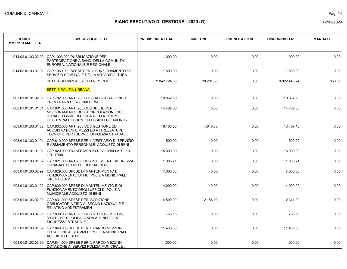| <b>CODICE</b><br>MM.PP.TI.MA.L3.L4 | <b>SPESE - OGGETTO</b>                                                                                                                                           | <b>PREVISIONI ATTUALI</b> | <b>IMPEGNI</b> | <b>PRENOTAZIONI</b> | <b>DISPONIBILITA'</b> | <b>MANDATI</b> |
|------------------------------------|------------------------------------------------------------------------------------------------------------------------------------------------------------------|---------------------------|----------------|---------------------|-----------------------|----------------|
| 014.02.01.03.02.99                 | CAP.1903.000 PUBBLICAZIONE PER<br>PARTECIPAZIONE A BANDI DELLA COMUNITA'<br>EUROPEA, NAZIONALE E REGIONALE.                                                      | 1.000.00                  | 0,00           | 0.00                | 1.000.00              | 0.00           |
| 014.02.01.03.01.02                 | CAP.1960.000 SPESE PER IL FUNZIONAMENTO DEL<br>SERVIZIO COMUNALE DELLA VITIVINICOLTURA                                                                           | 1.500,00                  | 0,00           | 0,00                | 1.500,00              | 0,00           |
|                                    | SETT. 4 SERVIZI ALLA CITTA' PO N.6                                                                                                                               | 9.042.724,60              | 20.281,36      | 0,00                | 9.022.443,24          | 850,00         |
|                                    | <b>SETT. 5 POLIZIA URBANA</b>                                                                                                                                    |                           |                |                     |                       |                |
| 003.01.01.01.02.01                 | CAP.782.000 ART. 208 C.D.S ASSICURAZIONE E<br>PREVIDENZA PERSONALE PM                                                                                            | 10.862,10                 | 0,00           | 0,00                | 10.862,10             | 0,00           |
| 003.01.01.01.01.01                 | CAP.801.000 ART. 208 CDS SPESE PER IL<br>MIGLIORAMENTO DELLA CIRCOLAZIONE SULLE<br>STRADE FORME DI CONTRATTO A TEMPO<br>DETERMINATO FORME FLESSIBILI DI LAVORO - | 14.482,80                 | 0,00           | 0,00                | 14.482,80             | 0,00           |
| 003.01.01.03.01.02                 | CAP 802.000 ART. 208 CDS GESTIONE ED<br>ACQUISTO BENI E MEZZI ED ATTREZZATURE<br>TECNICHE PER I SERVIZI DI POLIZIA STRADALE                                      | 18.103,50                 | 4.646,35       | 0,00                | 13.457,15             | 0,00           |
| 003.01.01.03.01.04                 | CAP.810.000 SPESE PER IL VESTIARIO DI SERVIZIO<br>E ARMAMENTO PERSONALE: ACQUISTO DI BENI                                                                        | 500,00                    | 0,00           | 0,00                | 500,00                | 0,00           |
| 003.01.01.01.01.01                 | CAP.820.000 TRASFEIMENTO REGIONALI ART. 13<br>L.R. 17/90                                                                                                         | 15.000,00                 | 0,00           | 0,00                | 15.000,00             | 0,00           |
| 003.01.01.03.01.02                 | CAP.821.000 ART.208 CDS INTERVENTI SICUREZZA<br>STRADALE UTENTI DEBOLI AC/BENI.                                                                                  | 1.086,21                  | 0,00           | 0.00                | 1.086.21              | 0.00           |
| 003.01.01.03.02.99                 | CAP.829.000 SPESE DI MANTENIMENTO E<br>FUNZIONAMENTO UFFICI POLIZIA MUNICIPALE<br>:PREST.SERV.                                                                   | 7.000,00                  | 0,00           | 0,00                | 7.000,00              | 0,00           |
| 003.01.01.03.01.02                 | CAP.830.000 SPESE DI MANTENIMENTO E DI<br><b>FUNZIONAMENTO DEGLI UFFICI DI POLIZIA</b><br>MUNICIPALE ACQUISTO DI BENI                                            | 4.000,00                  | 0,00           | 0,00                | 4.000,00              | 0,00           |
| 003.01.01.03.02.99                 | CAP.831.000 SPESE PER ISCRIZIONE<br>OBBLIGATORIA TIRO A SEGNO NAZIONALE E<br>RELATIVO ADDESTRAMEN                                                                | 4.500,00                  | 2.156,00       | 0,00                | 2.344,00              | 0,00           |
| 003.01.01.03.02.99                 | CAP.839.000 ART. 208 CDS STUDI, COMVEGNI,<br>RICERCHE E PROPAGANDA AI FINI DELLA<br>SICUREZZA STRADALE.                                                          | 756,16                    | 0,00           | 0,00                | 756,16                | 0,00           |
| 003.01.01.03.01.02                 | CAP.840.000 SPESE PER IL PARCO MEZZI IN<br>DOTAZIONE AI SERVIZI DI POLIZIA MUNICIPALE<br><b>ACQUISTO DI BENI</b>                                                 | 11.450,00                 | 0,00           | 0,00                | 11.450,00             | 0,00           |
| 003.01.01.03.02.99                 | CAP.841.000 SPESE PER IL PARCO MEZZI IN<br>DOTAZIONE AI SERVIZI POLIZIA MUNICIPALE :                                                                             | 11.000,00                 | 0,00           | 0,00                | 11.000,00             | 0,00           |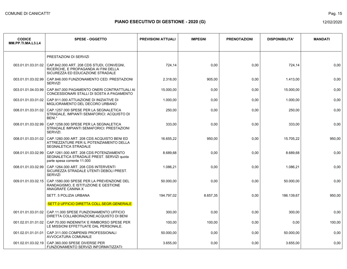Pag. 15

| <b>CODICE</b><br>MM.PP.TI.MA.L3.L4 | <b>SPESE - OGGETTO</b>                                                                                                | <b>PREVISIONI ATTUALI</b> | <b>IMPEGNI</b> | <b>PRENOTAZIONI</b> | <b>DISPONIBILITA'</b> | <b>MANDATI</b> |
|------------------------------------|-----------------------------------------------------------------------------------------------------------------------|---------------------------|----------------|---------------------|-----------------------|----------------|
|                                    | PRESTAZIONI DI SERVIZI                                                                                                |                           |                |                     |                       |                |
| 003.01.01.03.01.02                 | CAP.842.000 ART. 208 CDS STUDI, CONVEGNI,<br>RICERCHE, E PROPAGANDA AI FINI DELLA<br>SICUREZZA ED EDUCAZIONE STRADALE | 724,14                    | 0,00           | 0,00                | 724,14                | 0,00           |
| 003.01.01.03.02.99                 | CAP.846.000 FUNZIONAMENTO CED: PRESTAZIONI<br><b>SERVIZI</b>                                                          | 2.318.00                  | 905,00         | 0.00                | 1.413,00              | 0,00           |
| 003.01.01.04.03.99                 | CAP.847.000 PAGAMENTO ONERI CONTRATTUALI AI<br>CONCESSIONARI STALLI DI SOSTA A PAGAMENTO                              | 15.000,00                 | 0,00           | 0,00                | 15.000,00             | 0,00           |
| 003.01.01.03.01.02                 | CAP.911.000 ATTUAZIONE DI INIZIATIVE DI<br>MIGLIORAMENTO DEL DECORO URBANO                                            | 1.000,00                  | 0,00           | 0,00                | 1.000,00              | 0,00           |
| 008.01.01.03.01.02                 | CAP.1257.000 SPESE PER LA SEGNALETICA<br>STRADALE, IMPIANTI SEMAFORICI: ACQUISTO DI<br>BENI.*                         | 250,00                    | 0,00           | 0,00                | 250,00                | 0,00           |
| 008.01.01.03.02.99                 | CAP.1258.000 SPESE PER LA SEGNALETICA<br>STRADALE IMPIANTI SEMAFORICI: PRESTAZIONI<br>SERVIZI.                        | 333,00                    | 0,00           | 0,00                | 333,00                | 0,00           |
| 008.01.01.03.01.02                 | CAP.1260.000 ART. 208 CDS ACQUISTO BENI ED<br>ATTREZZATURE PER IL POTENZIAMENTO DELLA<br>SEGNALETICA STRADALE         | 16.655,22                 | 950,00         | 0,00                | 15.705,22             | 950,00         |
| 008.01.01.03.02.99                 | CAP.1261.000 ART. 208 CDS POTENZIAMENTO<br>SEGNALETICA STRADALE PREST. SERVIZI quota<br>parte spesa corrente 11.000   | 8.689,68                  | 0,00           | 0,00                | 8.689,68              | 0,00           |
| 008.01.01.03.02.99                 | CAP.1264.000 ART. 208 CDS INTERVENTI<br>SICUREZZA STRADALE UTENTI DEBOLI PREST.<br><b>SERVIZI</b>                     | 1.086.21                  | 0,00           | 0.00                | 1.086.21              | 0,00           |
| 009.01.01.03.02.15                 | CAP.1580.000 SPESE PER LA PREVENZIONE DEL<br>RANDAGISMO. E ISTITUZIONE E GESTIONE<br>ANAGRAFE CANINA X                | 50.000,00                 | 0,00           | 0,00                | 50.000,00             | 0,00           |
|                                    | SETT. 5 POLIZIA URBANA                                                                                                | 194.797,02                | 8.657,35       | 0,00                | 186.139,67            | 950,00         |
|                                    | SETT.0 UFFICIO DIRETTA COLL.SEGR.GENERALE                                                                             |                           |                |                     |                       |                |
| 001.01.01.03.01.02                 | CAP.11.000 SPESE FUNZIONAMENTO UFFICIO<br>DIRETTA COLLABORAZIONE: ACQUISTO DI BENI                                    | 300,00                    | 0,00           | 0,00                | 300,00                | 0,00           |
| 001.02.01.01.01.02                 | CAP.70.000 INDENNITA' E RIMBORSO SPESE PER<br>LE MISSIONI EFFETTUATE DAL PERSONALE.                                   | 100,00                    | 100,00         | 0,00                | 0,00                  | 100,00         |
| 001.02.01.01.01.01                 | CAP.311.000 COMPENSI PROFESSIONALI<br>AVVOCATURA COMUNALE                                                             | 50.000.00                 | 0,00           | 0,00                | 50.000,00             | 0.00           |
| 001.02.01.03.02.19                 | CAP.360.000 SPESE DIVERSE PER<br>FUNZIONAMENTO SERVIZI INFORMATIZZATI:                                                | 3.655,00                  | 0,00           | 0,00                | 3.655,00              | 0,00           |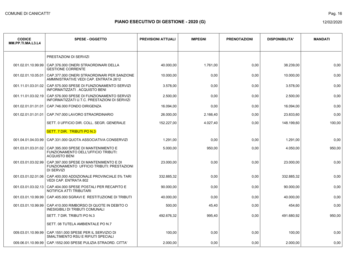Pag. 16

| <b>CODICE</b><br>MM.PP.TI.MA.L3.L4 | <b>SPESE - OGGETTO</b>                                                                             | <b>PREVISIONI ATTUALI</b> | <b>IMPEGNI</b> | <b>PRENOTAZIONI</b> | <b>DISPONIBILITA'</b> | <b>MANDATI</b> |
|------------------------------------|----------------------------------------------------------------------------------------------------|---------------------------|----------------|---------------------|-----------------------|----------------|
|                                    | PRESTAZIONI DI SERVIZI                                                                             |                           |                |                     |                       |                |
| 001.02.01.10.99.99                 | CAP.376.000 ONERI STRAORDINARI DELLA<br><b>GESTIONE CORRENTE</b>                                   | 40.000.00                 | 1.761,00       | 0,00                | 38.239,00             | 0,00           |
| 001.02.01.10.05.01                 | CAP.377.000 ONERI STRAORDINARI PER SANZIONE<br>AMMINISTRATIVE VEDI CAP. ENTRATA 2612               | 10.000,00                 | 0,00           | 0,00                | 10.000,00             | 0,00           |
| 001.11.01.03.01.02                 | CAP.575.000 SPESE DI FUNZIONAMENTO SERVIZI<br>INFORMATIZZATI . ACQUISTO BENI                       | 3.578,00                  | 0,00           | 0,00                | 3.578,00              | 0,00           |
| 001.11.01.03.02.19                 | CAP.576.000 SPESE DI FUNZIONAMENTO SERVIZI<br>INFORMATIZZATI U.T.C. PRESTAZIONI DI SERVIZI         | 2.500,00                  | 0,00           | 0,00                | 2.500,00              | 0,00           |
| 001.02.01.01.01.01                 | CAP.746.000 FONDO DIRIGENZA                                                                        | 16.094,00                 | 0,00           | 0,00                | 16.094,00             | 0,00           |
| 001.02.01.01.01.01                 | CAP.747.000 LAVORO STRAORDINARIO                                                                   | 26,000.00                 | 2.166,40       | 0,00                | 23.833,60             | 0,00           |
|                                    | SETT. 0 UFFICIO DIR. COLL. SEGR. GENERALE                                                          | 152.227,00                | 4.027,40       | 0,00                | 148.199.60            | 100,00         |
|                                    | SETT. 7 DIR. TRIBUTI PO N.3                                                                        |                           |                |                     |                       |                |
| 001.04.01.04.03.99                 | CAP.331.000 QUOTA ASSOCIATIVA CONSERVIZI                                                           | 1.291,00                  | 0,00           | 0,00                | 1.291,00              | 0,00           |
| 001.03.01.03.01.02                 | CAP.395.000 SPESE DI MANTENIMENTO E<br>FUNZIONAMENTO DELL'UFFICIO TRIBUTI:<br><b>ACQUISTO BENI</b> | 5.000,00                  | 950,00         | 0,00                | 4.050,00              | 950,00         |
| 001.03.01.03.02.99                 | CAP.397.000 SPESE DI MANTENIMENTO E DI<br>FUNZIONAMENTO UFFICIO TRIBUTI: PRESTAZIONI<br>DI SERVIZI | 23.000.00                 | 0,00           | 0,00                | 23.000,00             | 0,00           |
| 001.03.01.02.01.06                 | CAP.400.000 ADDIZIONALE PROVINCIALE 5% TARI<br>VEDI CAP. ENTRATA 802                               | 332.885.32                | 0,00           | 0,00                | 332.885,32            | 0,00           |
| 001.03.01.03.02.13                 | CAP.404.000 SPESE POSTALI PER RECAPITO E<br>NOTIFICA ATTI TRIBUTARI                                | 90.000,00                 | 0,00           | 0,00                | 90.000,00             | 0,00           |
| 001.03.01.10.99.99                 | CAP.405.000 SGRAVI E RESTITUZIONE DI TRIBUTI                                                       | 40.000,00                 | 0,00           | 0,00                | 40.000,00             | 0,00           |
| 001.03.01.10.99.99                 | CAP.410.000 RIMBORSO DI QUOTE IN DEBITO O<br><b>INESIGIBILI DI TRIBUTI COMUNALI</b>                | 500,00                    | 45,40          | 0,00                | 454,60                | 0,00           |
|                                    | SETT. 7 DIR. TRIBUTI PO N.3                                                                        | 492.676,32                | 995,40         | 0,00                | 491.680,92            | 950,00         |
|                                    | SETT. 08 TUTELA AMBIENTALE PO N.7                                                                  |                           |                |                     |                       |                |
| 009.03.01.10.99.99                 | CAP.1551.000 SPESE PER IL SERVIZIO DI<br>SMALTIMENTO RSU E RIFIUTI SPECIALI                        | 100,00                    | 0,00           | 0,00                | 100,00                | 0,00           |
| 009.06.01.10.99.99                 | CAP.1552.000 SPESE PULIZIA STRAORD. CITTA'                                                         | 2.000,00                  | 0,00           | 0.00                | 2.000,00              | 0,00           |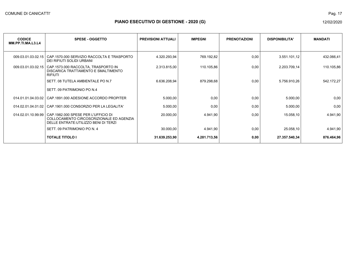Pag. 17

| <b>CODICE</b><br>MM.PP.TI.MA.L3.L4 | <b>SPESE - OGGETTO</b>                                                                                                    | <b>PREVISIONI ATTUALI</b> | <b>IMPEGNI</b> | <b>PRENOTAZIONI</b> | <b>DISPONIBILITA'</b> | <b>MANDATI</b> |
|------------------------------------|---------------------------------------------------------------------------------------------------------------------------|---------------------------|----------------|---------------------|-----------------------|----------------|
|                                    |                                                                                                                           |                           |                |                     |                       |                |
| 009.03.01.03.02.15                 | CAP.1570.000 SERVIZIO RACCOLTA E TRASPORTO<br>DEI RIFIUTI SOLIDI URBANI                                                   | 4.320.293,94              | 769.192,82     | 0,00                | 3.551.101,12          | 432.066,41     |
| 009.03.01.03.02.15                 | CAP.1573.000 RACCOLTA, TRASPORTO IN<br>DISCARICA TRATTAMENTO E SMALTIMENTO<br><b>RIFIUTI</b>                              | 2.313.815,00              | 110.105,86     | 0,00                | 2.203.709,14          | 110.105,86     |
|                                    | SETT. 08 TUTELA AMBIENTALE PO N.7                                                                                         | 6.636.208,94              | 879.298,68     | 0,00                | 5.756.910,26          | 542.172,27     |
|                                    | SETT. 09 PATRIMONIO PO N.4                                                                                                |                           |                |                     |                       |                |
| 014.01.01.04.03.02                 | CAP.1891.000 ADESIONE ACCORDO PROPITER                                                                                    | 5.000,00                  | 0,00           | 0,00                | 5.000,00              | 0,00           |
| 014.02.01.04.01.02                 | CAP.1901.000 CONSORZIO PER LA LEGALITA'                                                                                   | 5.000,00                  | 0,00           | 0,00                | 5.000,00              | 0,00           |
| 014.02.01.10.99.99                 | CAP. 1982.000 SPESE PER L'UFFICIO DI<br>COLLOCAMENTO CIRCOSCRIZIONALE ED AGENZIA<br>DELLE ENTRATE: UTILIZZO BENI DI TERZI | 20.000,00                 | 4.941,90       | 0,00                | 15.058,10             | 4.941,90       |
|                                    | SETT. 09 PATRIMONIO PO N. 4                                                                                               | 30.000,00                 | 4.941,90       | 0,00                | 25.058,10             | 4.941,90       |
|                                    | <b>TOTALE TITOLO I</b>                                                                                                    | 31.639.253,90             | 4.281.713,56   | 0,00                | 27.357.540,34         | 876.464,96     |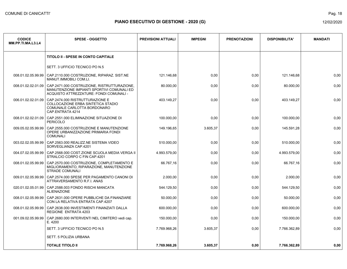| <b>CODICE</b><br>MM.PP.TI.MA.L3.L4 | <b>SPESE - OGGETTO</b>                                                                                                               | <b>PREVISIONI ATTUALI</b> | <b>IMPEGNI</b> | <b>PRENOTAZIONI</b> | <b>DISPONIBILITA'</b> | <b>MANDATI</b> |
|------------------------------------|--------------------------------------------------------------------------------------------------------------------------------------|---------------------------|----------------|---------------------|-----------------------|----------------|
|                                    | <b>TITOLO II - SPESE IN CONTO CAPITALE</b>                                                                                           |                           |                |                     |                       |                |
|                                    | SETT. 3 UFFICIO TECNICO PO N.5                                                                                                       |                           |                |                     |                       |                |
| 008.01.02.05.99.99                 | CAP.2110.000 COSTRUZIONE, RIPARAZ. SIST.NE<br>MANUT IMMOBILI COM.LI.                                                                 | 121.146.68                | 0,00           | 0,00                | 121.146,68            | 0,00           |
| 008.01.02.02.01.09                 | CAP.2471.000 COSTRUZIONE, RISTRUTTURAZIONE,<br>MANUTENZIONE IMPIANTI SPORTIVI COMUNALI ED<br>ACQUISTO ATTREZZATURE: FONDI COMUNALI - | 80.000,00                 | 0,00           | 0,00                | 80.000,00             | 0,00           |
| 006.01.02.02.01.09                 | CAP.2474.000 RISTRUTTURAZIONE E<br>COLLOCAZIONE ERBA SINTETICA STADIO<br>COMUNALE CARLOTTA BORDONARO<br>CAP.ENTRATA 4214             | 403.149,27                | 0,00           | 0,00                | 403.149,27            | 0,00           |
| 008.01.02.02.01.09                 | CAP.2551.000 ELIMINAZIONE SITUAZIONE DI<br><b>PERICOLO</b>                                                                           | 100.000,00                | 0,00           | 0,00                | 100.000,00            | 0,00           |
| 009.05.02.05.99.99                 | CAP.2555.000 COSTRUZIONE E MANUTENZIONE<br>OPERE URBANIZZAZIONE PRIMARIA FONDI<br><b>COMUNALI</b>                                    | 149.196,65                | 3.605,37       | 0,00                | 145.591,28            | 0,00           |
| 003.02.02.05.99.99                 | CAP.2563.000 REALIZZ.NE SISTEMA VIDEO<br>SORVEGLIANZA CAP.4201                                                                       | 510.000,00                | 0,00           | 0,00                | 510.000,00            | 0,00           |
| 004.07.02.05.99.99                 | CAP.2568.000 COST.ZIONE SCUOLA MEDIA VERGA II<br>STRALCIO CORPO C FIN CAP.4201                                                       | 4.993.579,00              | 0,00           | 0,00                | 4.993.579,00          | 0,00           |
| 008.01.02.05.99.99                 | CAP.2570.000 COSTRUZIONE, COMPLETAMENTO E<br>MIGLIORAMENTO, RIPARAZIONE, MANUTENZIONE<br><b>STRADE COMUNALI</b>                      | 66.767.16                 | 0,00           | 0,00                | 66.767,16             | 0,00           |
| 009.01.02.05.99.99                 | CAP.2574.000 SPESE PER PAGAMENTO CANONI DI<br>ATTRAVERSAMENTO R.F.I. ANAS                                                            | 2.000,00                  | 0,00           | 0,00                | 2.000,00              | 0,00           |
| 020.01.02.05.01.99                 | CAP.2588.003 FONDO RISCHI MANCATA<br><b>ALIENAZIONE</b>                                                                              | 544.129,50                | 0,00           | 0,00                | 544.129,50            | 0,00           |
| 008.01.02.05.99.99                 | CAP.2631.000 OPERE PUBBLICHE DA FINANZIARE<br>CON LA RELATIVA ENTRATA CAP.4207                                                       | 50.000,00                 | 0,00           | 0,00                | 50.000,00             | 0,00           |
| 008.01.02.05.99.99                 | CAP.2638.000 INVESTIMENTI FINANZIATI DALLA<br><b>REGIONE ENTRATA 4203</b>                                                            | 600.000.00                | 0,00           | 0,00                | 600.000,00            | 0,00           |
| 001.09.02.05.99.99                 | CAP.2680.000 INTERVENTI NEL CIMITERO vedi cap.<br>E. 4200                                                                            | 150.000,00                | 0,00           | 0,00                | 150.000,00            | 0,00           |
|                                    | SETT. 3 UFFICIO TECNICO PO N.5                                                                                                       | 7.769.968,26              | 3.605,37       | 0,00                | 7.766.362,89          | 0,00           |
|                                    | SETT. 5 POLIZIA URBANA                                                                                                               |                           |                |                     |                       |                |
|                                    | <b>TOTALE TITOLO II</b>                                                                                                              | 7.769.968.26              | 3.605.37       | 0,00                | 7.766.362.89          | 0,00           |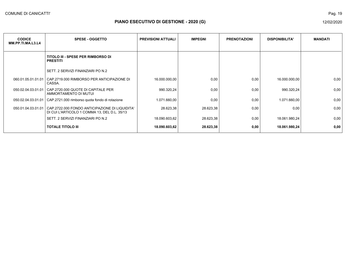| <b>CODICE</b><br>MM.PP.TI.MA.L3.L4 | <b>SPESE - OGGETTO</b>                                                                         | <b>PREVISIONI ATTUALI</b> | <b>IMPEGNI</b> | <b>PRENOTAZIONI</b> | <b>DISPONIBILITA'</b> | <b>MANDATI</b> |
|------------------------------------|------------------------------------------------------------------------------------------------|---------------------------|----------------|---------------------|-----------------------|----------------|
|                                    |                                                                                                |                           |                |                     |                       |                |
|                                    | <b>TITOLO III - SPESE PER RIMBORSO DI</b><br><b>PRESTITI</b>                                   |                           |                |                     |                       |                |
|                                    | SETT. 2 SERVIZI FINANZIARI PO N.2                                                              |                           |                |                     |                       |                |
| 060.01.05.01.01.01                 | CAP.2719.000 RIMBORSO PER ANTICIPAZIONE DI<br>CASSA.                                           | 16.000.000,00             | 0,00           | 0,00                | 16.000.000,00         | 0,00           |
| 050.02.04.03.01.01                 | CAP.2720.000 QUOTE DI CAPITALE PER<br>AMMORTAMENTO DI MUTUI                                    | 990.320,24                | 0,00           | 0,00                | 990.320,24            | 0,00           |
| 050.02.04.03.01.01                 | CAP.2721.000 rimborso quota fondo di rotazione                                                 | 1.071.660,00              | 0,00           | 0,00                | 1.071.660,00          | 0,00           |
| 050.01.04.03.01.01                 | CAP.2722.000 FONDO ANTICIPAZIONE DI LIQUIDITA'<br>DI CUI L'ARTICOLO 1 COMMA 13, DEL D.L. 35/13 | 28.623,38                 | 28.623,38      | 0,00                | 0,00                  | 0,00           |
|                                    | SETT. 2 SERVIZI FINANZIARI PO N.2                                                              | 18.090.603,62             | 28.623,38      | 0,00                | 18.061.980,24         | 0,00           |
|                                    | <b>TOTALE TITOLO III</b>                                                                       | 18.090.603,62             | 28.623,38      | 0,00                | 18.061.980,24         | 0,00           |

Pag. 19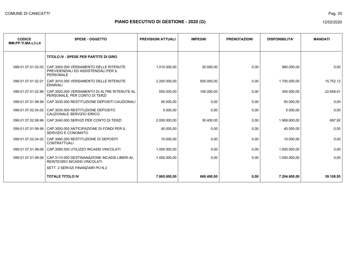| <b>CODICE</b><br>MM.PP.TI.MA.L3.L4 | <b>SPESE - OGGETTO</b>                                                                                                 | <b>PREVISIONI ATTUALI</b> | <b>IMPEGNI</b> | <b>PRENOTAZIONI</b> | <b>DISPONIBILITA'</b> | <b>MANDATI</b> |
|------------------------------------|------------------------------------------------------------------------------------------------------------------------|---------------------------|----------------|---------------------|-----------------------|----------------|
|                                    | TITOLO IV - SPESE PER PARTITE DI GIRO                                                                                  |                           |                |                     |                       |                |
|                                    | 099.01.07.01.02.02 CAP.3000.000 VERSAMENTO DELLE RITENUTE<br>PREVIDENZIALI ED ASSISTENZIALI PER IL<br><b>PERSONALE</b> | 1.010.000.00              | 30.000.00      | 0,00                | 980.000.00            | 0,00           |
| 099.01.07.01.02.01                 | CAP.3010.000 VERSAMENTO DELLE RITENUTE<br><b>ERARIALI</b>                                                              | 2.200.000,00              | 500.000,00     | 0,00                | 1.700.000,00          | 15.752,12      |
| 099.01.07.01.02.99                 | CAP.3020.000 VERSAMENTO DI ALTRE RITENUTE AL<br>PERSONALE, PER CONTO DI TERZI                                          | 550.000,00                | 100.000,00     | 0,00                | 450.000,00            | 22.658,91      |
|                                    | 099.01.07.01.99.99   CAP.3030.000 RESTITUZIONE DEPOSITI CAUZIONALI                                                     | 50.000,00                 | 0,00           | 0,00                | 50.000,00             | 0,00           |
|                                    | 099.01.07.02.04.02 CAP.3035.000 RESTITUZIONE DEPOSITO<br>CAUZIONALE SERVIZIO IDRICO                                    | 5.000,00                  | 0,00           | 0,00                | 5.000,00              | 0,00           |
| 099.01.07.02.99.99                 | CAP.3040.000 SERVIZI PER CONTO DI TERZI                                                                                | 2.000.000,00              | 30.400,00      | 0,00                | 1.969.600,00          | 697,92         |
|                                    | 099.01.07.01.99.99 CAP.3050.000 ANTICIPAZIONE DI FONDI PER IL<br>SERVIZIO E CONOMATO                                   | 40.000,00                 | 0,00           | 0,00                | 40.000,00             | 0,00           |
|                                    | 099.01.07.02.04.02 CAP.3060.000 RESTITUZIONE DI DEPOSITI<br><b>CONTRATTUALI</b>                                        | 10.000,00                 | 0,00           | 0,00                | 10.000,00             | 0,00           |
|                                    | 099.01.07.01.99.06   CAP.3090.000 UTILIZZO INCASSI VINCOLATI                                                           | 1.000.000,00              | 0,00           | 0,00                | 1.000.000,00          | 0,00           |
|                                    | 099.01.07.01.99.06   CAP.3110.000 DESTINANAZIONE INCASSI LIBERI AL<br><b>REINTEGRO INCASSI VINCOLATI</b>               | 1.000.000.00              | 0,00           | 0,00                | 1.000.000.00          | 0,00           |
|                                    | SETT. 2 SERVIZI FINANZIARI PO N.2                                                                                      |                           |                |                     |                       |                |
|                                    | <b>TOTALE TITOLO IV</b>                                                                                                | 7.865.000,00              | 660.400,00     | 0,00                | 7.204.600,00          | 39.108,95      |